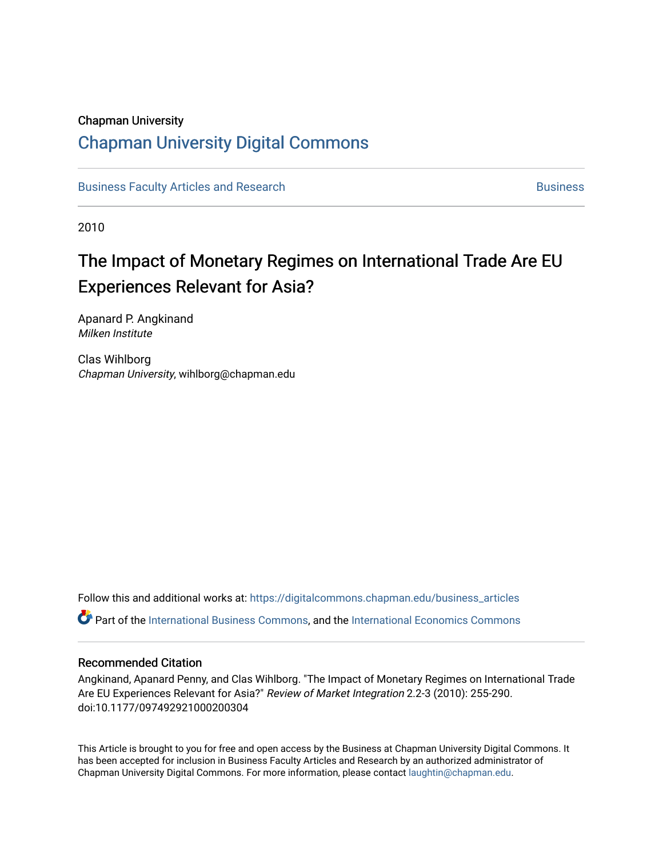#### Chapman University

## [Chapman University Digital Commons](https://digitalcommons.chapman.edu/)

[Business Faculty Articles and Research](https://digitalcommons.chapman.edu/business_articles) [Business](https://digitalcommons.chapman.edu/business) **Business** Business

2010

# The Impact of Monetary Regimes on International Trade Are EU Experiences Relevant for Asia?

Apanard P. Angkinand Milken Institute

Clas Wihlborg Chapman University, wihlborg@chapman.edu

Follow this and additional works at: [https://digitalcommons.chapman.edu/business\\_articles](https://digitalcommons.chapman.edu/business_articles?utm_source=digitalcommons.chapman.edu%2Fbusiness_articles%2F19&utm_medium=PDF&utm_campaign=PDFCoverPages)  Part of the [International Business Commons,](http://network.bepress.com/hgg/discipline/634?utm_source=digitalcommons.chapman.edu%2Fbusiness_articles%2F19&utm_medium=PDF&utm_campaign=PDFCoverPages) and the [International Economics Commons](http://network.bepress.com/hgg/discipline/348?utm_source=digitalcommons.chapman.edu%2Fbusiness_articles%2F19&utm_medium=PDF&utm_campaign=PDFCoverPages) 

#### Recommended Citation

Angkinand, Apanard Penny, and Clas Wihlborg. "The Impact of Monetary Regimes on International Trade Are EU Experiences Relevant for Asia?" Review of Market Integration 2.2-3 (2010): 255-290. doi:10.1177/097492921000200304

This Article is brought to you for free and open access by the Business at Chapman University Digital Commons. It has been accepted for inclusion in Business Faculty Articles and Research by an authorized administrator of Chapman University Digital Commons. For more information, please contact [laughtin@chapman.edu](mailto:laughtin@chapman.edu).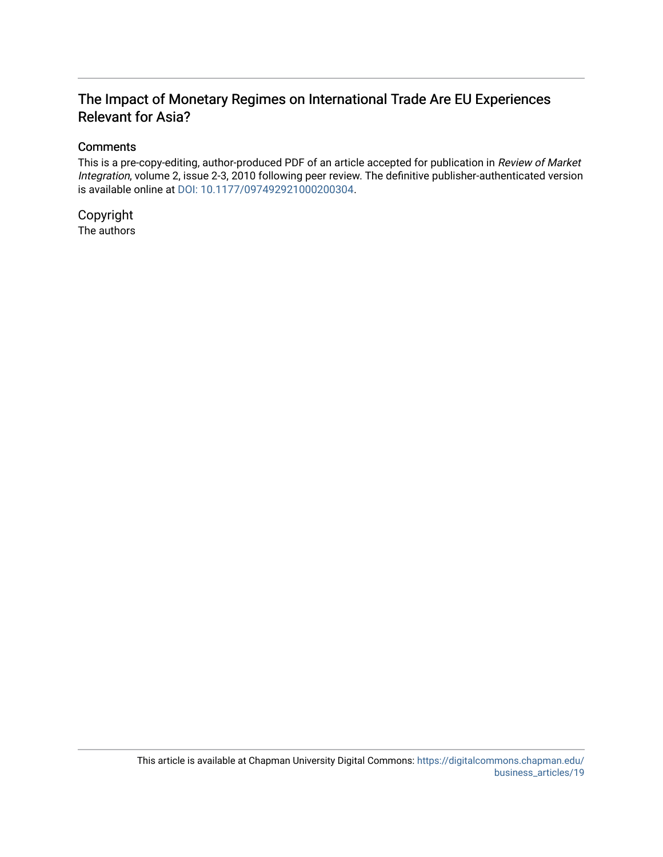### The Impact of Monetary Regimes on International Trade Are EU Experiences Relevant for Asia?

#### **Comments**

This is a pre-copy-editing, author-produced PDF of an article accepted for publication in Review of Market Integration, volume 2, issue 2-3, 2010 following peer review. The definitive publisher-authenticated version is available online at [DOI: 10.1177/097492921000200304.](http://dx.doi.org/10.1177/097492921000200304)

Copyright The authors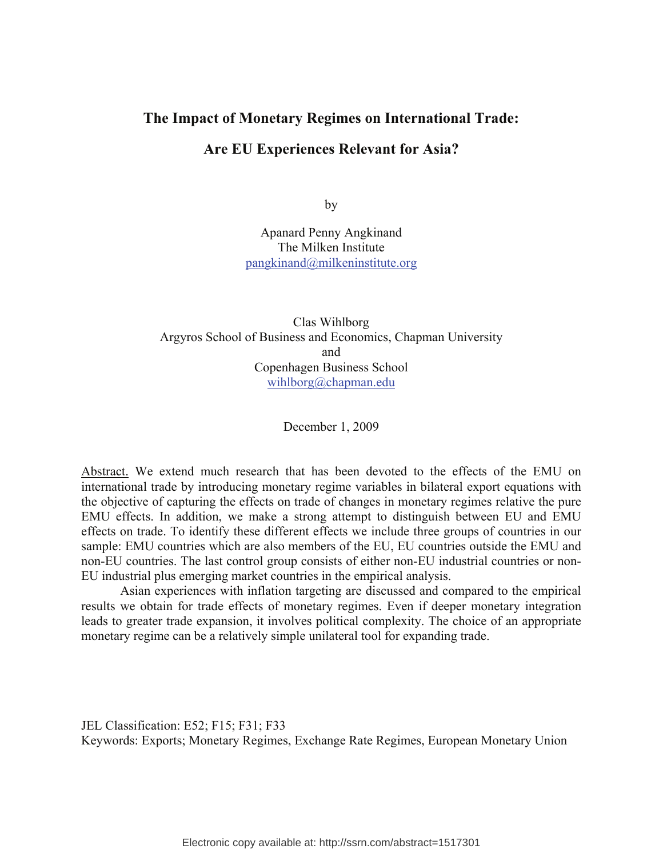## **The Impact of Monetary Regimes on International Trade:**

#### **Are EU Experiences Relevant for Asia?**

by

Apanard Penny Angkinand The Milken Institute pangkinand@milkeninstitute.org

Clas Wihlborg Argyros School of Business and Economics, Chapman University and Copenhagen Business School wihlborg@chapman.edu

December 1, 2009

Abstract. We extend much research that has been devoted to the effects of the EMU on international trade by introducing monetary regime variables in bilateral export equations with the objective of capturing the effects on trade of changes in monetary regimes relative the pure EMU effects. In addition, we make a strong attempt to distinguish between EU and EMU effects on trade. To identify these different effects we include three groups of countries in our sample: EMU countries which are also members of the EU, EU countries outside the EMU and non-EU countries. The last control group consists of either non-EU industrial countries or non-EU industrial plus emerging market countries in the empirical analysis.

 Asian experiences with inflation targeting are discussed and compared to the empirical results we obtain for trade effects of monetary regimes. Even if deeper monetary integration leads to greater trade expansion, it involves political complexity. The choice of an appropriate monetary regime can be a relatively simple unilateral tool for expanding trade.

JEL Classification: E52; F15; F31; F33 Keywords: Exports; Monetary Regimes, Exchange Rate Regimes, European Monetary Union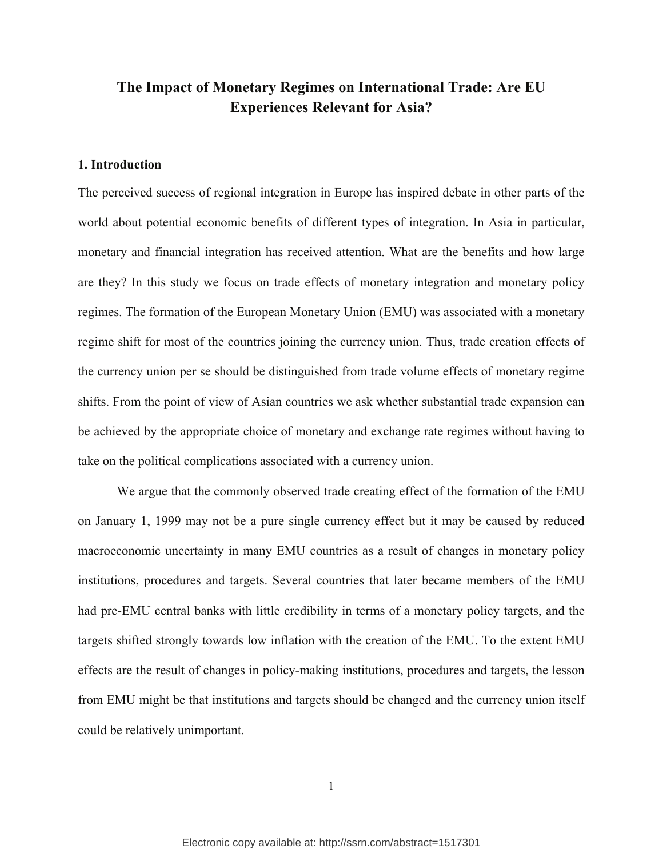### **The Impact of Monetary Regimes on International Trade: Are EU Experiences Relevant for Asia?**

#### **1. Introduction**

The perceived success of regional integration in Europe has inspired debate in other parts of the world about potential economic benefits of different types of integration. In Asia in particular, monetary and financial integration has received attention. What are the benefits and how large are they? In this study we focus on trade effects of monetary integration and monetary policy regimes. The formation of the European Monetary Union (EMU) was associated with a monetary regime shift for most of the countries joining the currency union. Thus, trade creation effects of the currency union per se should be distinguished from trade volume effects of monetary regime shifts. From the point of view of Asian countries we ask whether substantial trade expansion can be achieved by the appropriate choice of monetary and exchange rate regimes without having to take on the political complications associated with a currency union.

 We argue that the commonly observed trade creating effect of the formation of the EMU on January 1, 1999 may not be a pure single currency effect but it may be caused by reduced macroeconomic uncertainty in many EMU countries as a result of changes in monetary policy institutions, procedures and targets. Several countries that later became members of the EMU had pre-EMU central banks with little credibility in terms of a monetary policy targets, and the targets shifted strongly towards low inflation with the creation of the EMU. To the extent EMU effects are the result of changes in policy-making institutions, procedures and targets, the lesson from EMU might be that institutions and targets should be changed and the currency union itself could be relatively unimportant.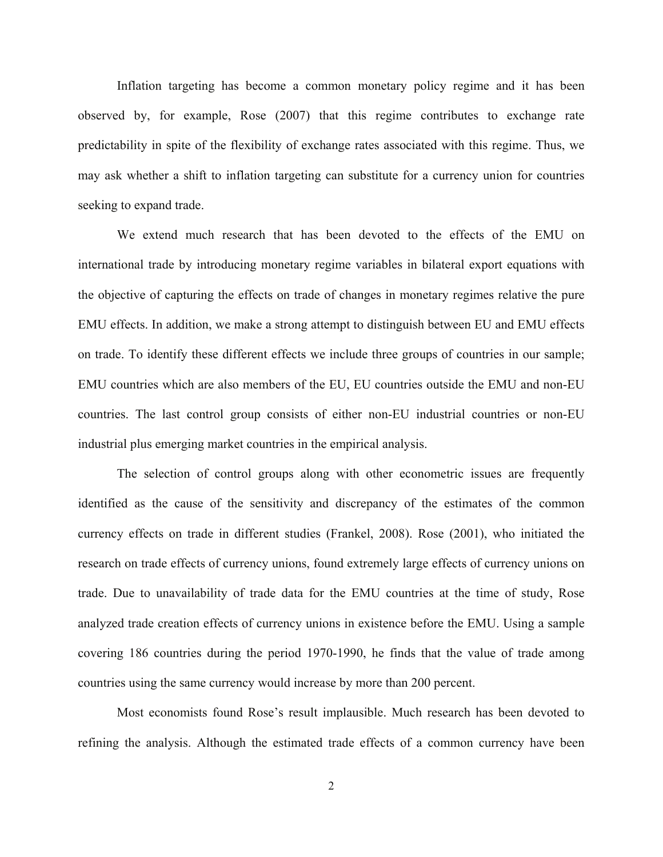Inflation targeting has become a common monetary policy regime and it has been observed by, for example, Rose (2007) that this regime contributes to exchange rate predictability in spite of the flexibility of exchange rates associated with this regime. Thus, we may ask whether a shift to inflation targeting can substitute for a currency union for countries seeking to expand trade.

We extend much research that has been devoted to the effects of the EMU on international trade by introducing monetary regime variables in bilateral export equations with the objective of capturing the effects on trade of changes in monetary regimes relative the pure EMU effects. In addition, we make a strong attempt to distinguish between EU and EMU effects on trade. To identify these different effects we include three groups of countries in our sample; EMU countries which are also members of the EU, EU countries outside the EMU and non-EU countries. The last control group consists of either non-EU industrial countries or non-EU industrial plus emerging market countries in the empirical analysis.

The selection of control groups along with other econometric issues are frequently identified as the cause of the sensitivity and discrepancy of the estimates of the common currency effects on trade in different studies (Frankel, 2008). Rose (2001), who initiated the research on trade effects of currency unions, found extremely large effects of currency unions on trade. Due to unavailability of trade data for the EMU countries at the time of study, Rose analyzed trade creation effects of currency unions in existence before the EMU. Using a sample covering 186 countries during the period 1970-1990, he finds that the value of trade among countries using the same currency would increase by more than 200 percent.

Most economists found Rose's result implausible. Much research has been devoted to refining the analysis. Although the estimated trade effects of a common currency have been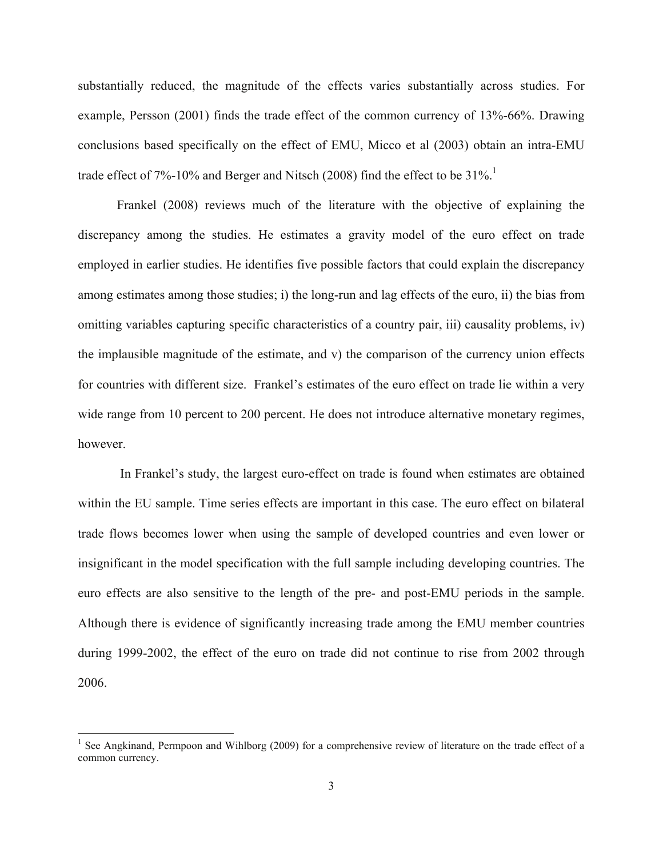substantially reduced, the magnitude of the effects varies substantially across studies. For example, Persson (2001) finds the trade effect of the common currency of 13%-66%. Drawing conclusions based specifically on the effect of EMU, Micco et al (2003) obtain an intra-EMU trade effect of 7%-10% and Berger and Nitsch (2008) find the effect to be  $31\%$ .<sup>1</sup>

Frankel (2008) reviews much of the literature with the objective of explaining the discrepancy among the studies. He estimates a gravity model of the euro effect on trade employed in earlier studies. He identifies five possible factors that could explain the discrepancy among estimates among those studies; i) the long-run and lag effects of the euro, ii) the bias from omitting variables capturing specific characteristics of a country pair, iii) causality problems, iv) the implausible magnitude of the estimate, and v) the comparison of the currency union effects for countries with different size. Frankel's estimates of the euro effect on trade lie within a very wide range from 10 percent to 200 percent. He does not introduce alternative monetary regimes, however.

 In Frankel's study, the largest euro-effect on trade is found when estimates are obtained within the EU sample. Time series effects are important in this case. The euro effect on bilateral trade flows becomes lower when using the sample of developed countries and even lower or insignificant in the model specification with the full sample including developing countries. The euro effects are also sensitive to the length of the pre- and post-EMU periods in the sample. Although there is evidence of significantly increasing trade among the EMU member countries during 1999-2002, the effect of the euro on trade did not continue to rise from 2002 through 2006.

<sup>&</sup>lt;sup>1</sup> See Angkinand, Permpoon and Wihlborg (2009) for a comprehensive review of literature on the trade effect of a common currency.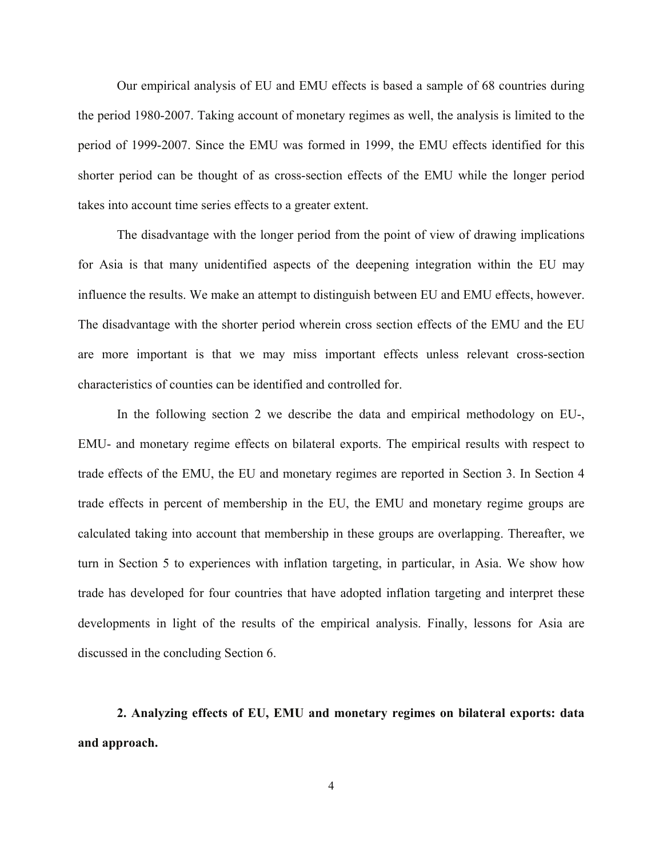Our empirical analysis of EU and EMU effects is based a sample of 68 countries during the period 1980-2007. Taking account of monetary regimes as well, the analysis is limited to the period of 1999-2007. Since the EMU was formed in 1999, the EMU effects identified for this shorter period can be thought of as cross-section effects of the EMU while the longer period takes into account time series effects to a greater extent.

The disadvantage with the longer period from the point of view of drawing implications for Asia is that many unidentified aspects of the deepening integration within the EU may influence the results. We make an attempt to distinguish between EU and EMU effects, however. The disadvantage with the shorter period wherein cross section effects of the EMU and the EU are more important is that we may miss important effects unless relevant cross-section characteristics of counties can be identified and controlled for.

In the following section 2 we describe the data and empirical methodology on EU-, EMU- and monetary regime effects on bilateral exports. The empirical results with respect to trade effects of the EMU, the EU and monetary regimes are reported in Section 3. In Section 4 trade effects in percent of membership in the EU, the EMU and monetary regime groups are calculated taking into account that membership in these groups are overlapping. Thereafter, we turn in Section 5 to experiences with inflation targeting, in particular, in Asia. We show how trade has developed for four countries that have adopted inflation targeting and interpret these developments in light of the results of the empirical analysis. Finally, lessons for Asia are discussed in the concluding Section 6.

**2. Analyzing effects of EU, EMU and monetary regimes on bilateral exports: data and approach.**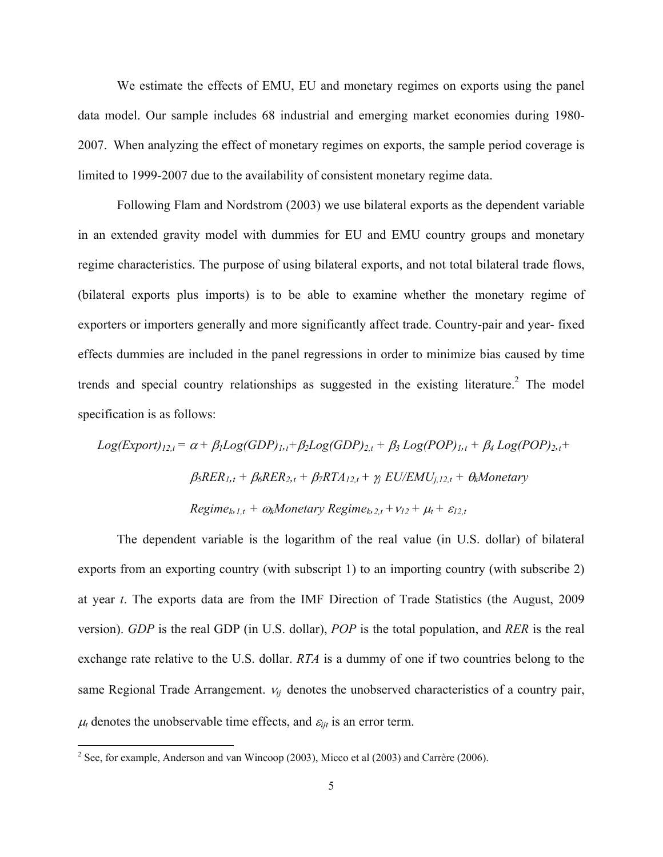We estimate the effects of EMU, EU and monetary regimes on exports using the panel data model. Our sample includes 68 industrial and emerging market economies during 1980- 2007. When analyzing the effect of monetary regimes on exports, the sample period coverage is limited to 1999-2007 due to the availability of consistent monetary regime data.

Following Flam and Nordstrom (2003) we use bilateral exports as the dependent variable in an extended gravity model with dummies for EU and EMU country groups and monetary regime characteristics. The purpose of using bilateral exports, and not total bilateral trade flows, (bilateral exports plus imports) is to be able to examine whether the monetary regime of exporters or importers generally and more significantly affect trade. Country-pair and year- fixed effects dummies are included in the panel regressions in order to minimize bias caused by time trends and special country relationships as suggested in the existing literature.<sup>2</sup> The model specification is as follows:

$$
Log(Export)_{12,t} = \alpha + \beta_1 Log(GDP)_{1,t} + \beta_2 Log(GDP)_{2,t} + \beta_3 Log(POP)_{1,t} + \beta_4 Log(POP)_{2,t} +
$$
  

$$
\beta_5 RER_{1,t} + \beta_6 RER_{2,t} + \beta_7 RTA_{12,t} + \gamma_5 EU/EMU_{j,12,t} + \theta_k Monetary
$$
  

$$
Regime_{k,1,t} + \omega_k Monetary\ Regime_{k,2,t} + \nu_{12} + \mu_t + \varepsilon_{12,t}
$$

 The dependent variable is the logarithm of the real value (in U.S. dollar) of bilateral exports from an exporting country (with subscript 1) to an importing country (with subscribe 2) at year *t*. The exports data are from the IMF Direction of Trade Statistics (the August, 2009 version). *GDP* is the real GDP (in U.S. dollar), *POP* is the total population, and *RER* is the real exchange rate relative to the U.S. dollar. *RTA* is a dummy of one if two countries belong to the same Regional Trade Arrangement. <sup>ν</sup>*ij* denotes the unobserved characteristics of a country pair,  $\mu_t$  denotes the unobservable time effects, and  $\varepsilon_{i}$  is an error term.

<sup>&</sup>lt;sup>2</sup> See, for example, Anderson and van Wincoop (2003), Micco et al (2003) and Carrère (2006).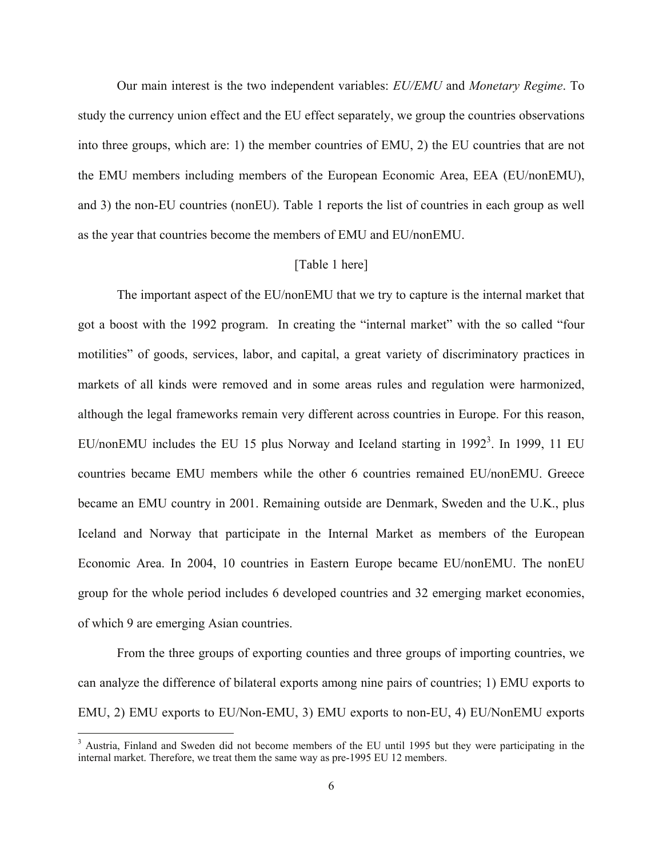Our main interest is the two independent variables: *EU/EMU* and *Monetary Regime*. To study the currency union effect and the EU effect separately, we group the countries observations into three groups, which are: 1) the member countries of EMU, 2) the EU countries that are not the EMU members including members of the European Economic Area, EEA (EU/nonEMU), and 3) the non-EU countries (nonEU). Table 1 reports the list of countries in each group as well as the year that countries become the members of EMU and EU/nonEMU.

#### [Table 1 here]

The important aspect of the EU/nonEMU that we try to capture is the internal market that got a boost with the 1992 program. In creating the "internal market" with the so called "four motilities" of goods, services, labor, and capital, a great variety of discriminatory practices in markets of all kinds were removed and in some areas rules and regulation were harmonized, although the legal frameworks remain very different across countries in Europe. For this reason, EU/nonEMU includes the EU 15 plus Norway and Iceland starting in 1992<sup>3</sup>. In 1999, 11 EU countries became EMU members while the other 6 countries remained EU/nonEMU. Greece became an EMU country in 2001. Remaining outside are Denmark, Sweden and the U.K., plus Iceland and Norway that participate in the Internal Market as members of the European Economic Area. In 2004, 10 countries in Eastern Europe became EU/nonEMU. The nonEU group for the whole period includes 6 developed countries and 32 emerging market economies, of which 9 are emerging Asian countries.

 From the three groups of exporting counties and three groups of importing countries, we can analyze the difference of bilateral exports among nine pairs of countries; 1) EMU exports to EMU, 2) EMU exports to EU/Non-EMU, 3) EMU exports to non-EU, 4) EU/NonEMU exports

<sup>&</sup>lt;sup>3</sup> Austria, Finland and Sweden did not become members of the EU until 1995 but they were participating in the internal market. Therefore, we treat them the same way as pre-1995 EU 12 members.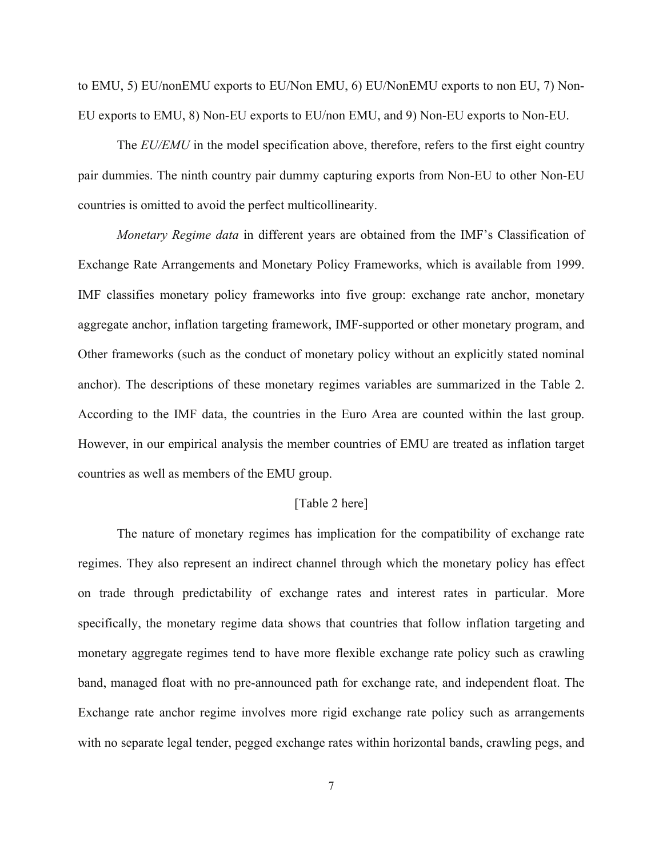to EMU, 5) EU/nonEMU exports to EU/Non EMU, 6) EU/NonEMU exports to non EU, 7) Non-EU exports to EMU, 8) Non-EU exports to EU/non EMU, and 9) Non-EU exports to Non-EU.

The *EU/EMU* in the model specification above, therefore, refers to the first eight country pair dummies. The ninth country pair dummy capturing exports from Non-EU to other Non-EU countries is omitted to avoid the perfect multicollinearity.

 *Monetary Regime data* in different years are obtained from the IMF's Classification of Exchange Rate Arrangements and Monetary Policy Frameworks, which is available from 1999. IMF classifies monetary policy frameworks into five group: exchange rate anchor, monetary aggregate anchor, inflation targeting framework, IMF-supported or other monetary program, and Other frameworks (such as the conduct of monetary policy without an explicitly stated nominal anchor). The descriptions of these monetary regimes variables are summarized in the Table 2. According to the IMF data, the countries in the Euro Area are counted within the last group. However, in our empirical analysis the member countries of EMU are treated as inflation target countries as well as members of the EMU group.

#### [Table 2 here]

The nature of monetary regimes has implication for the compatibility of exchange rate regimes. They also represent an indirect channel through which the monetary policy has effect on trade through predictability of exchange rates and interest rates in particular. More specifically, the monetary regime data shows that countries that follow inflation targeting and monetary aggregate regimes tend to have more flexible exchange rate policy such as crawling band, managed float with no pre-announced path for exchange rate, and independent float. The Exchange rate anchor regime involves more rigid exchange rate policy such as arrangements with no separate legal tender, pegged exchange rates within horizontal bands, crawling pegs, and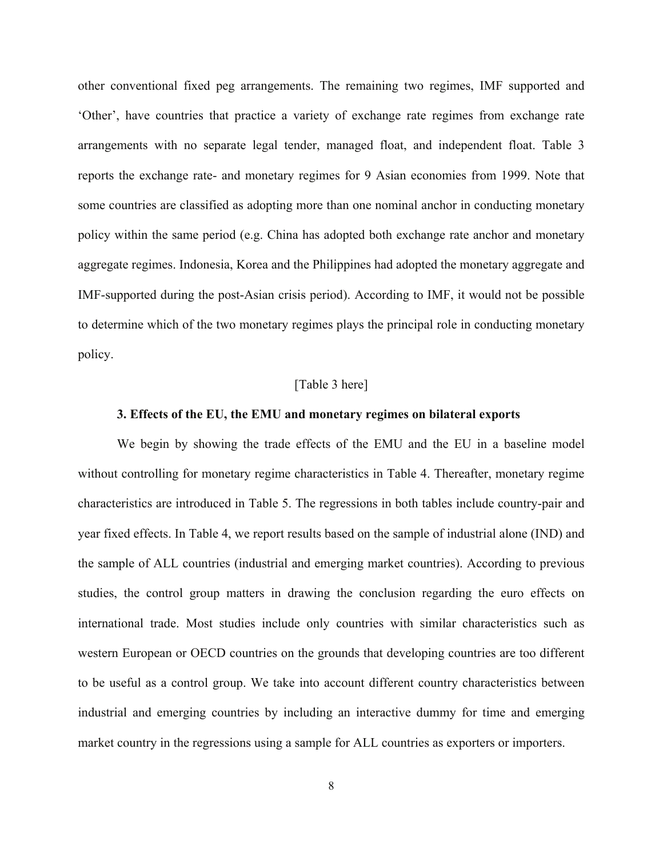other conventional fixed peg arrangements. The remaining two regimes, IMF supported and 'Other', have countries that practice a variety of exchange rate regimes from exchange rate arrangements with no separate legal tender, managed float, and independent float. Table 3 reports the exchange rate- and monetary regimes for 9 Asian economies from 1999. Note that some countries are classified as adopting more than one nominal anchor in conducting monetary policy within the same period (e.g. China has adopted both exchange rate anchor and monetary aggregate regimes. Indonesia, Korea and the Philippines had adopted the monetary aggregate and IMF-supported during the post-Asian crisis period). According to IMF, it would not be possible to determine which of the two monetary regimes plays the principal role in conducting monetary policy.

#### [Table 3 here]

#### **3. Effects of the EU, the EMU and monetary regimes on bilateral exports**

We begin by showing the trade effects of the EMU and the EU in a baseline model without controlling for monetary regime characteristics in Table 4. Thereafter, monetary regime characteristics are introduced in Table 5. The regressions in both tables include country-pair and year fixed effects. In Table 4, we report results based on the sample of industrial alone (IND) and the sample of ALL countries (industrial and emerging market countries). According to previous studies, the control group matters in drawing the conclusion regarding the euro effects on international trade. Most studies include only countries with similar characteristics such as western European or OECD countries on the grounds that developing countries are too different to be useful as a control group. We take into account different country characteristics between industrial and emerging countries by including an interactive dummy for time and emerging market country in the regressions using a sample for ALL countries as exporters or importers.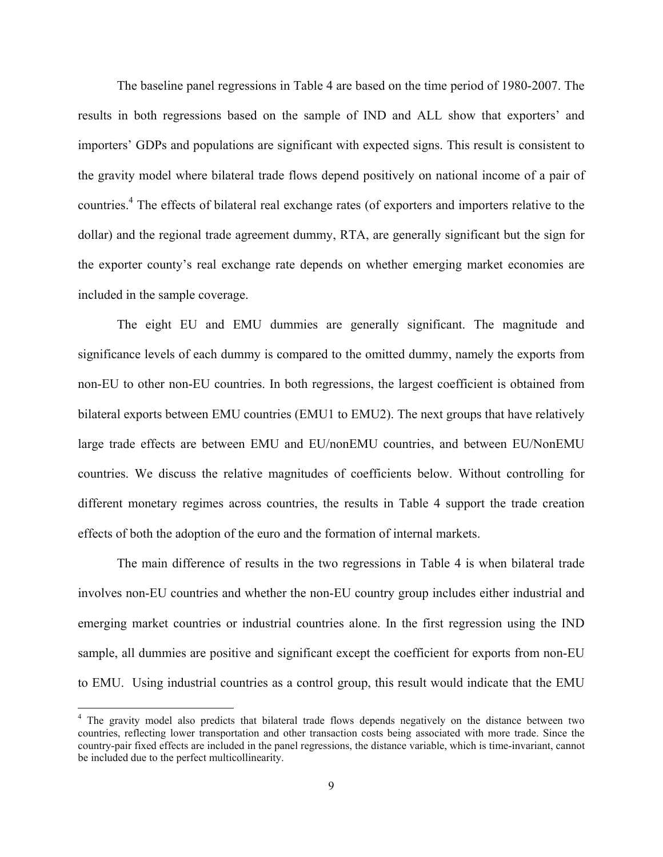The baseline panel regressions in Table 4 are based on the time period of 1980-2007. The results in both regressions based on the sample of IND and ALL show that exporters' and importers' GDPs and populations are significant with expected signs. This result is consistent to the gravity model where bilateral trade flows depend positively on national income of a pair of countries.<sup>4</sup> The effects of bilateral real exchange rates (of exporters and importers relative to the dollar) and the regional trade agreement dummy, RTA, are generally significant but the sign for the exporter county's real exchange rate depends on whether emerging market economies are included in the sample coverage.

The eight EU and EMU dummies are generally significant. The magnitude and significance levels of each dummy is compared to the omitted dummy, namely the exports from non-EU to other non-EU countries. In both regressions, the largest coefficient is obtained from bilateral exports between EMU countries (EMU1 to EMU2). The next groups that have relatively large trade effects are between EMU and EU/nonEMU countries, and between EU/NonEMU countries. We discuss the relative magnitudes of coefficients below. Without controlling for different monetary regimes across countries, the results in Table 4 support the trade creation effects of both the adoption of the euro and the formation of internal markets.

The main difference of results in the two regressions in Table 4 is when bilateral trade involves non-EU countries and whether the non-EU country group includes either industrial and emerging market countries or industrial countries alone. In the first regression using the IND sample, all dummies are positive and significant except the coefficient for exports from non-EU to EMU. Using industrial countries as a control group, this result would indicate that the EMU

<sup>&</sup>lt;sup>4</sup> The gravity model also predicts that bilateral trade flows depends negatively on the distance between two countries, reflecting lower transportation and other transaction costs being associated with more trade. Since the country-pair fixed effects are included in the panel regressions, the distance variable, which is time-invariant, cannot be included due to the perfect multicollinearity.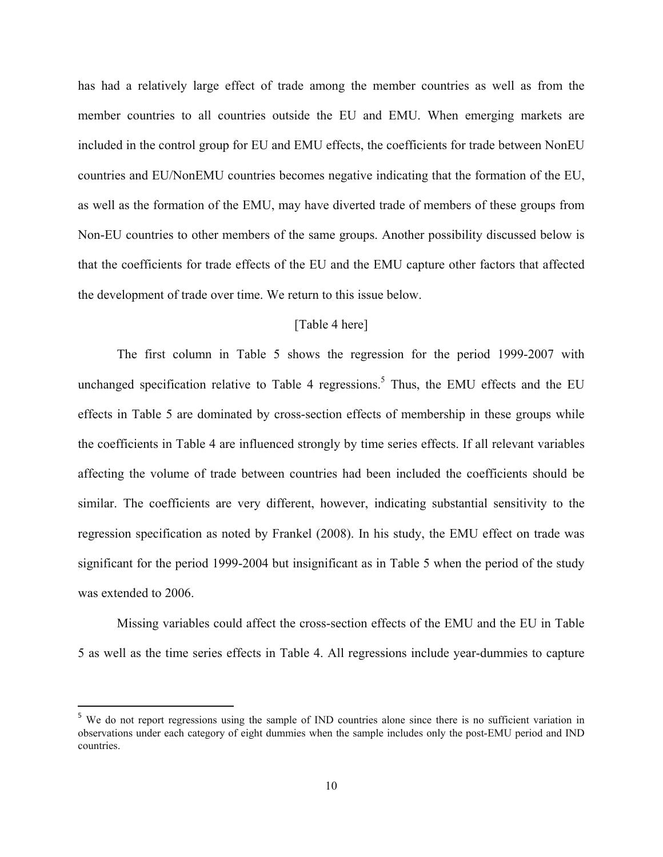has had a relatively large effect of trade among the member countries as well as from the member countries to all countries outside the EU and EMU. When emerging markets are included in the control group for EU and EMU effects, the coefficients for trade between NonEU countries and EU/NonEMU countries becomes negative indicating that the formation of the EU, as well as the formation of the EMU, may have diverted trade of members of these groups from Non-EU countries to other members of the same groups. Another possibility discussed below is that the coefficients for trade effects of the EU and the EMU capture other factors that affected the development of trade over time. We return to this issue below.

#### [Table 4 here]

The first column in Table 5 shows the regression for the period 1999-2007 with unchanged specification relative to Table 4 regressions.<sup>5</sup> Thus, the EMU effects and the EU effects in Table 5 are dominated by cross-section effects of membership in these groups while the coefficients in Table 4 are influenced strongly by time series effects. If all relevant variables affecting the volume of trade between countries had been included the coefficients should be similar. The coefficients are very different, however, indicating substantial sensitivity to the regression specification as noted by Frankel (2008). In his study, the EMU effect on trade was significant for the period 1999-2004 but insignificant as in Table 5 when the period of the study was extended to 2006.

Missing variables could affect the cross-section effects of the EMU and the EU in Table 5 as well as the time series effects in Table 4. All regressions include year-dummies to capture

<sup>&</sup>lt;sup>5</sup> We do not report regressions using the sample of IND countries alone since there is no sufficient variation in observations under each category of eight dummies when the sample includes only the post-EMU period and IND countries.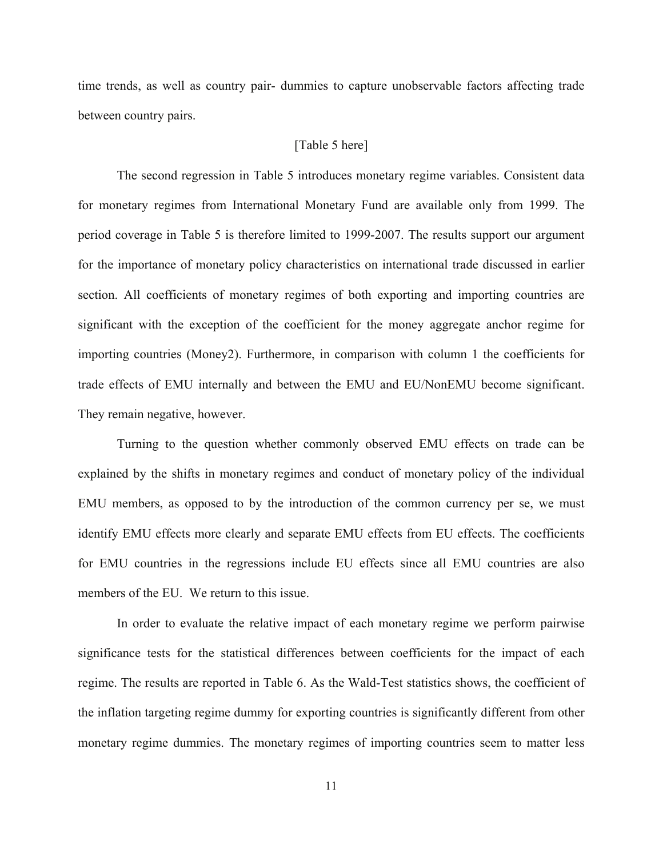time trends, as well as country pair- dummies to capture unobservable factors affecting trade between country pairs.

#### [Table 5 here]

 The second regression in Table 5 introduces monetary regime variables. Consistent data for monetary regimes from International Monetary Fund are available only from 1999. The period coverage in Table 5 is therefore limited to 1999-2007. The results support our argument for the importance of monetary policy characteristics on international trade discussed in earlier section. All coefficients of monetary regimes of both exporting and importing countries are significant with the exception of the coefficient for the money aggregate anchor regime for importing countries (Money2). Furthermore, in comparison with column 1 the coefficients for trade effects of EMU internally and between the EMU and EU/NonEMU become significant. They remain negative, however.

 Turning to the question whether commonly observed EMU effects on trade can be explained by the shifts in monetary regimes and conduct of monetary policy of the individual EMU members, as opposed to by the introduction of the common currency per se, we must identify EMU effects more clearly and separate EMU effects from EU effects. The coefficients for EMU countries in the regressions include EU effects since all EMU countries are also members of the EU. We return to this issue.

In order to evaluate the relative impact of each monetary regime we perform pairwise significance tests for the statistical differences between coefficients for the impact of each regime. The results are reported in Table 6. As the Wald-Test statistics shows, the coefficient of the inflation targeting regime dummy for exporting countries is significantly different from other monetary regime dummies. The monetary regimes of importing countries seem to matter less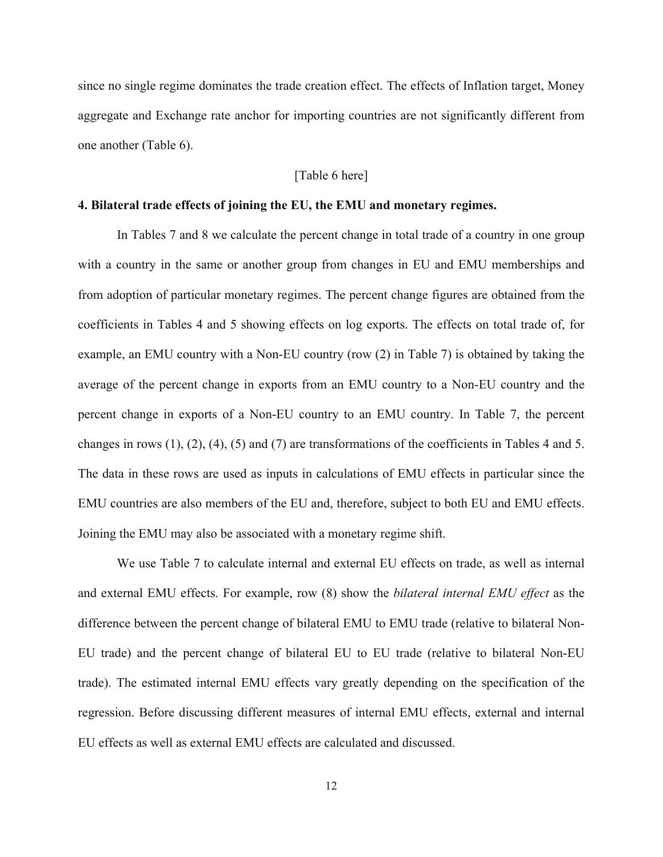since no single regime dominates the trade creation effect. The effects of Inflation target, Money aggregate and Exchange rate anchor for importing countries are not significantly different from one another (Table 6).

#### [Table 6 here]

#### **4. Bilateral trade effects of joining the EU, the EMU and monetary regimes.**

 In Tables 7 and 8 we calculate the percent change in total trade of a country in one group with a country in the same or another group from changes in EU and EMU memberships and from adoption of particular monetary regimes. The percent change figures are obtained from the coefficients in Tables 4 and 5 showing effects on log exports. The effects on total trade of, for example, an EMU country with a Non-EU country (row (2) in Table 7) is obtained by taking the average of the percent change in exports from an EMU country to a Non-EU country and the percent change in exports of a Non-EU country to an EMU country. In Table 7, the percent changes in rows (1), (2), (4), (5) and (7) are transformations of the coefficients in Tables 4 and 5. The data in these rows are used as inputs in calculations of EMU effects in particular since the EMU countries are also members of the EU and, therefore, subject to both EU and EMU effects. Joining the EMU may also be associated with a monetary regime shift.

We use Table 7 to calculate internal and external EU effects on trade, as well as internal and external EMU effects. For example, row (8) show the *bilateral internal EMU effect* as the difference between the percent change of bilateral EMU to EMU trade (relative to bilateral Non-EU trade) and the percent change of bilateral EU to EU trade (relative to bilateral Non-EU trade). The estimated internal EMU effects vary greatly depending on the specification of the regression. Before discussing different measures of internal EMU effects, external and internal EU effects as well as external EMU effects are calculated and discussed.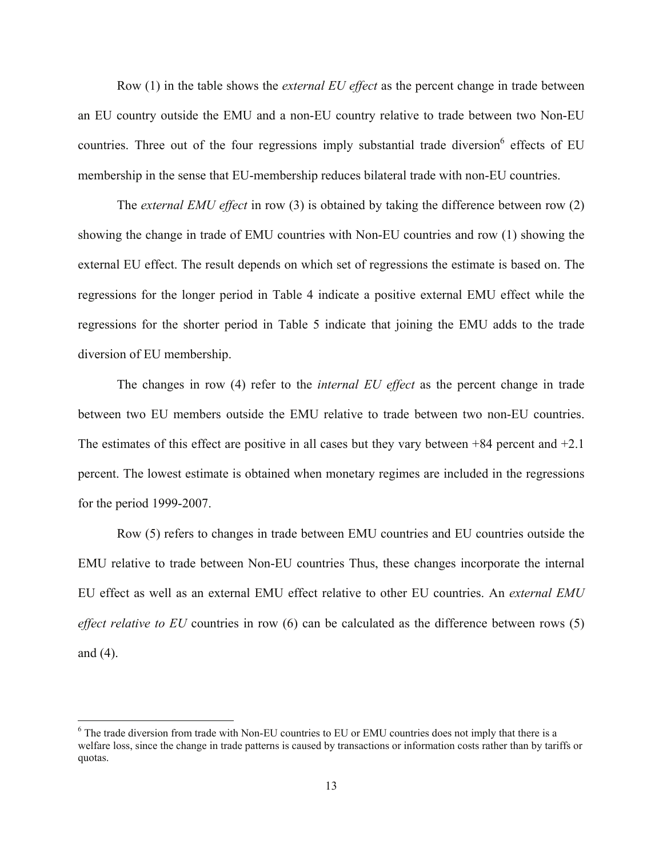Row (1) in the table shows the *external EU effect* as the percent change in trade between an EU country outside the EMU and a non-EU country relative to trade between two Non-EU countries. Three out of the four regressions imply substantial trade diversion  $6$  effects of EU membership in the sense that EU-membership reduces bilateral trade with non-EU countries.

The *external EMU effect* in row (3) is obtained by taking the difference between row (2) showing the change in trade of EMU countries with Non-EU countries and row (1) showing the external EU effect. The result depends on which set of regressions the estimate is based on. The regressions for the longer period in Table 4 indicate a positive external EMU effect while the regressions for the shorter period in Table 5 indicate that joining the EMU adds to the trade diversion of EU membership.

The changes in row (4) refer to the *internal EU effect* as the percent change in trade between two EU members outside the EMU relative to trade between two non-EU countries. The estimates of this effect are positive in all cases but they vary between +84 percent and +2.1 percent. The lowest estimate is obtained when monetary regimes are included in the regressions for the period 1999-2007.

Row (5) refers to changes in trade between EMU countries and EU countries outside the EMU relative to trade between Non-EU countries Thus, these changes incorporate the internal EU effect as well as an external EMU effect relative to other EU countries. An *external EMU effect relative to EU* countries in row (6) can be calculated as the difference between rows (5) and (4).

<sup>&</sup>lt;sup>6</sup> The trade diversion from trade with Non-EU countries to EU or EMU countries does not imply that there is a welfare loss, since the change in trade patterns is caused by transactions or information costs rather than by tariffs or quotas.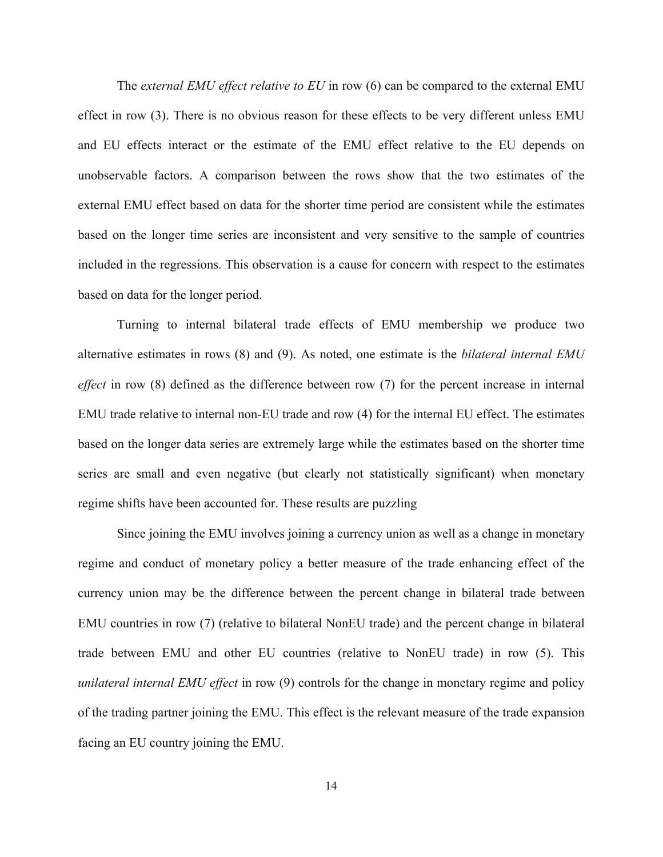The *external EMU effect relative to EU* in row (6) can be compared to the external EMU effect in row (3). There is no obvious reason for these effects to be very different unless EMU and EU effects interact or the estimate of the EMU effect relative to the EU depends on unobservable factors. A comparison between the rows show that the two estimates of the external EMU effect based on data for the shorter time period are consistent while the estimates based on the longer time series are inconsistent and very sensitive to the sample of countries included in the regressions. This observation is a cause for concern with respect to the estimates based on data for the longer period.

Turning to internal bilateral trade effects of EMU membership we produce two alternative estimates in rows (8) and (9). As noted, one estimate is the *bilateral internal EMU effect* in row (8) defined as the difference between row (7) for the percent increase in internal EMU trade relative to internal non-EU trade and row (4) for the internal EU effect. The estimates based on the longer data series are extremely large while the estimates based on the shorter time series are small and even negative (but clearly not statistically significant) when monetary regime shifts have been accounted for. These results are puzzling

Since joining the EMU involves joining a currency union as well as a change in monetary regime and conduct of monetary policy a better measure of the trade enhancing effect of the currency union may be the difference between the percent change in bilateral trade between EMU countries in row (7) (relative to bilateral NonEU trade) and the percent change in bilateral trade between EMU and other EU countries (relative to NonEU trade) in row (5). This *unilateral internal EMU effect* in row (9) controls for the change in monetary regime and policy of the trading partner joining the EMU. This effect is the relevant measure of the trade expansion facing an EU country joining the EMU.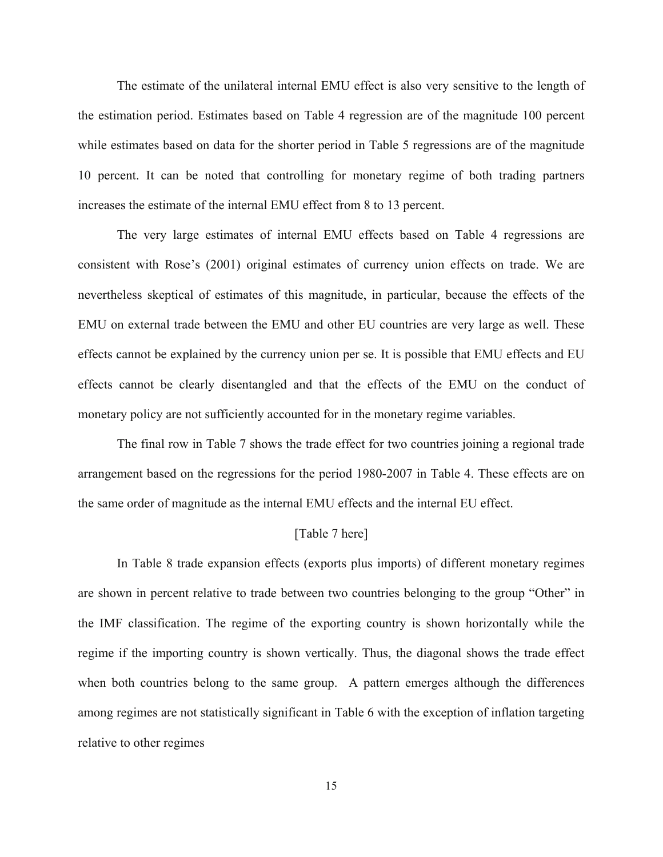The estimate of the unilateral internal EMU effect is also very sensitive to the length of the estimation period. Estimates based on Table 4 regression are of the magnitude 100 percent while estimates based on data for the shorter period in Table 5 regressions are of the magnitude 10 percent. It can be noted that controlling for monetary regime of both trading partners increases the estimate of the internal EMU effect from 8 to 13 percent.

The very large estimates of internal EMU effects based on Table 4 regressions are consistent with Rose's (2001) original estimates of currency union effects on trade. We are nevertheless skeptical of estimates of this magnitude, in particular, because the effects of the EMU on external trade between the EMU and other EU countries are very large as well. These effects cannot be explained by the currency union per se. It is possible that EMU effects and EU effects cannot be clearly disentangled and that the effects of the EMU on the conduct of monetary policy are not sufficiently accounted for in the monetary regime variables.

The final row in Table 7 shows the trade effect for two countries joining a regional trade arrangement based on the regressions for the period 1980-2007 in Table 4. These effects are on the same order of magnitude as the internal EMU effects and the internal EU effect.

#### [Table 7 here]

In Table 8 trade expansion effects (exports plus imports) of different monetary regimes are shown in percent relative to trade between two countries belonging to the group "Other" in the IMF classification. The regime of the exporting country is shown horizontally while the regime if the importing country is shown vertically. Thus, the diagonal shows the trade effect when both countries belong to the same group. A pattern emerges although the differences among regimes are not statistically significant in Table 6 with the exception of inflation targeting relative to other regimes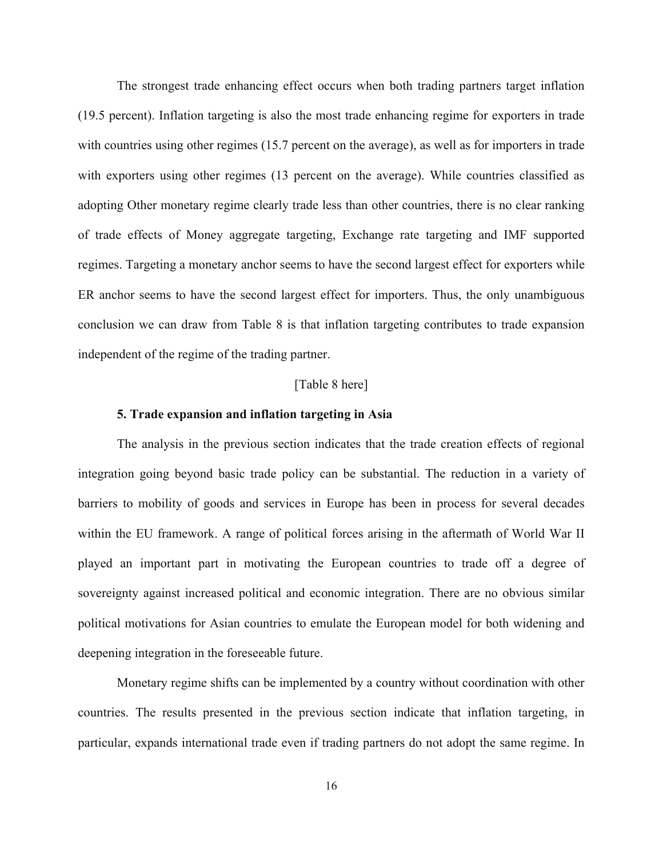The strongest trade enhancing effect occurs when both trading partners target inflation (19.5 percent). Inflation targeting is also the most trade enhancing regime for exporters in trade with countries using other regimes (15.7 percent on the average), as well as for importers in trade with exporters using other regimes (13 percent on the average). While countries classified as adopting Other monetary regime clearly trade less than other countries, there is no clear ranking of trade effects of Money aggregate targeting, Exchange rate targeting and IMF supported regimes. Targeting a monetary anchor seems to have the second largest effect for exporters while ER anchor seems to have the second largest effect for importers. Thus, the only unambiguous conclusion we can draw from Table 8 is that inflation targeting contributes to trade expansion independent of the regime of the trading partner.

#### [Table 8 here]

#### **5. Trade expansion and inflation targeting in Asia**

The analysis in the previous section indicates that the trade creation effects of regional integration going beyond basic trade policy can be substantial. The reduction in a variety of barriers to mobility of goods and services in Europe has been in process for several decades within the EU framework. A range of political forces arising in the aftermath of World War II played an important part in motivating the European countries to trade off a degree of sovereignty against increased political and economic integration. There are no obvious similar political motivations for Asian countries to emulate the European model for both widening and deepening integration in the foreseeable future.

Monetary regime shifts can be implemented by a country without coordination with other countries. The results presented in the previous section indicate that inflation targeting, in particular, expands international trade even if trading partners do not adopt the same regime. In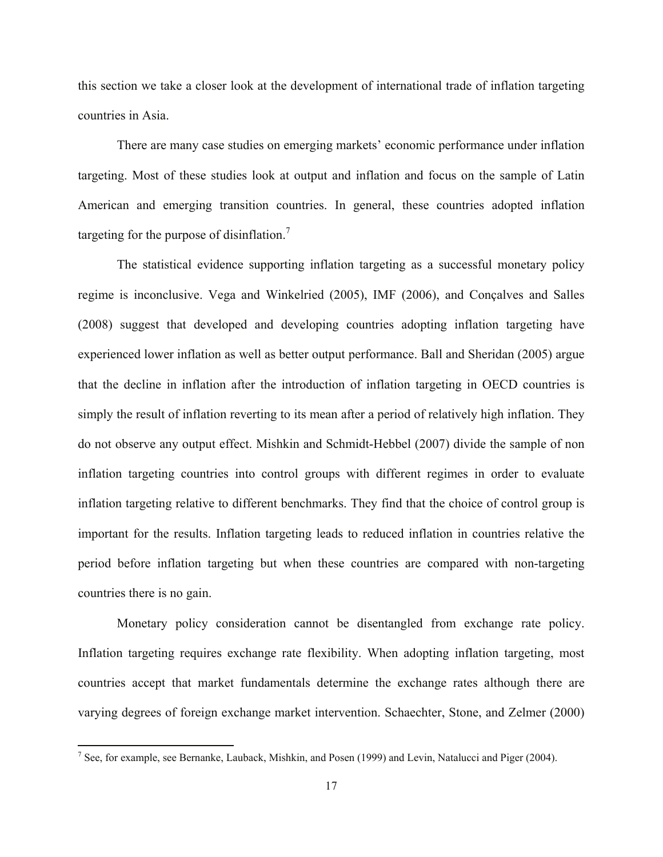this section we take a closer look at the development of international trade of inflation targeting countries in Asia.

There are many case studies on emerging markets' economic performance under inflation targeting. Most of these studies look at output and inflation and focus on the sample of Latin American and emerging transition countries. In general, these countries adopted inflation targeting for the purpose of disinflation.<sup>7</sup>

The statistical evidence supporting inflation targeting as a successful monetary policy regime is inconclusive. Vega and Winkelried (2005), IMF (2006), and Conçalves and Salles (2008) suggest that developed and developing countries adopting inflation targeting have experienced lower inflation as well as better output performance. Ball and Sheridan (2005) argue that the decline in inflation after the introduction of inflation targeting in OECD countries is simply the result of inflation reverting to its mean after a period of relatively high inflation. They do not observe any output effect. Mishkin and Schmidt-Hebbel (2007) divide the sample of non inflation targeting countries into control groups with different regimes in order to evaluate inflation targeting relative to different benchmarks. They find that the choice of control group is important for the results. Inflation targeting leads to reduced inflation in countries relative the period before inflation targeting but when these countries are compared with non-targeting countries there is no gain.

 Monetary policy consideration cannot be disentangled from exchange rate policy. Inflation targeting requires exchange rate flexibility. When adopting inflation targeting, most countries accept that market fundamentals determine the exchange rates although there are varying degrees of foreign exchange market intervention. Schaechter, Stone, and Zelmer (2000)

<sup>&</sup>lt;sup>7</sup> See, for example, see Bernanke, Lauback, Mishkin, and Posen (1999) and Levin, Natalucci and Piger (2004).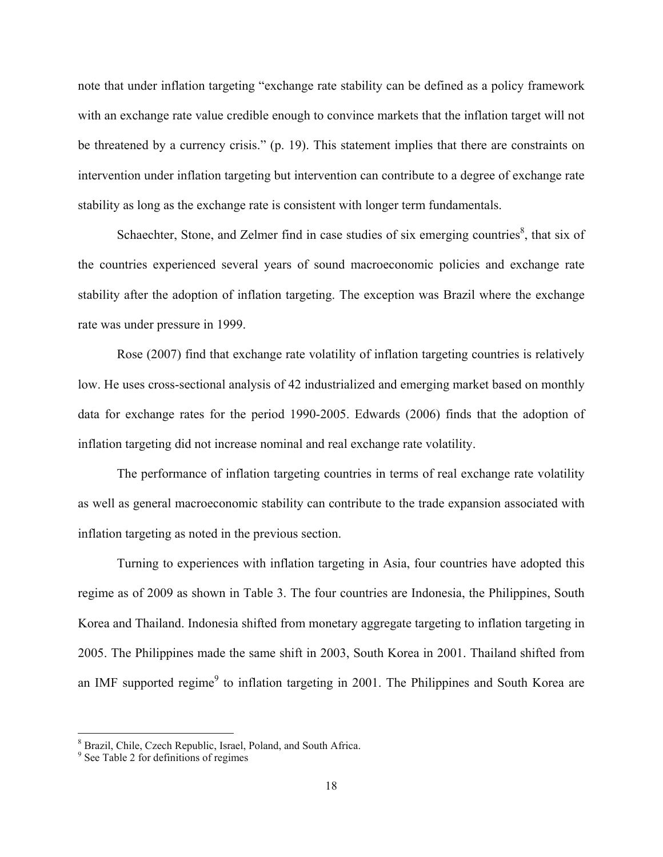note that under inflation targeting "exchange rate stability can be defined as a policy framework with an exchange rate value credible enough to convince markets that the inflation target will not be threatened by a currency crisis." (p. 19). This statement implies that there are constraints on intervention under inflation targeting but intervention can contribute to a degree of exchange rate stability as long as the exchange rate is consistent with longer term fundamentals.

Schaechter, Stone, and Zelmer find in case studies of six emerging countries<sup>8</sup>, that six of the countries experienced several years of sound macroeconomic policies and exchange rate stability after the adoption of inflation targeting. The exception was Brazil where the exchange rate was under pressure in 1999.

 Rose (2007) find that exchange rate volatility of inflation targeting countries is relatively low. He uses cross-sectional analysis of 42 industrialized and emerging market based on monthly data for exchange rates for the period 1990-2005. Edwards (2006) finds that the adoption of inflation targeting did not increase nominal and real exchange rate volatility.

 The performance of inflation targeting countries in terms of real exchange rate volatility as well as general macroeconomic stability can contribute to the trade expansion associated with inflation targeting as noted in the previous section.

 Turning to experiences with inflation targeting in Asia, four countries have adopted this regime as of 2009 as shown in Table 3. The four countries are Indonesia, the Philippines, South Korea and Thailand. Indonesia shifted from monetary aggregate targeting to inflation targeting in 2005. The Philippines made the same shift in 2003, South Korea in 2001. Thailand shifted from an IMF supported regime<sup>9</sup> to inflation targeting in 2001. The Philippines and South Korea are

<sup>&</sup>lt;sup>8</sup> Brazil, Chile, Czech Republic, Israel, Poland, and South Africa.<br><sup>9</sup> See Table 2 for definitions of regimes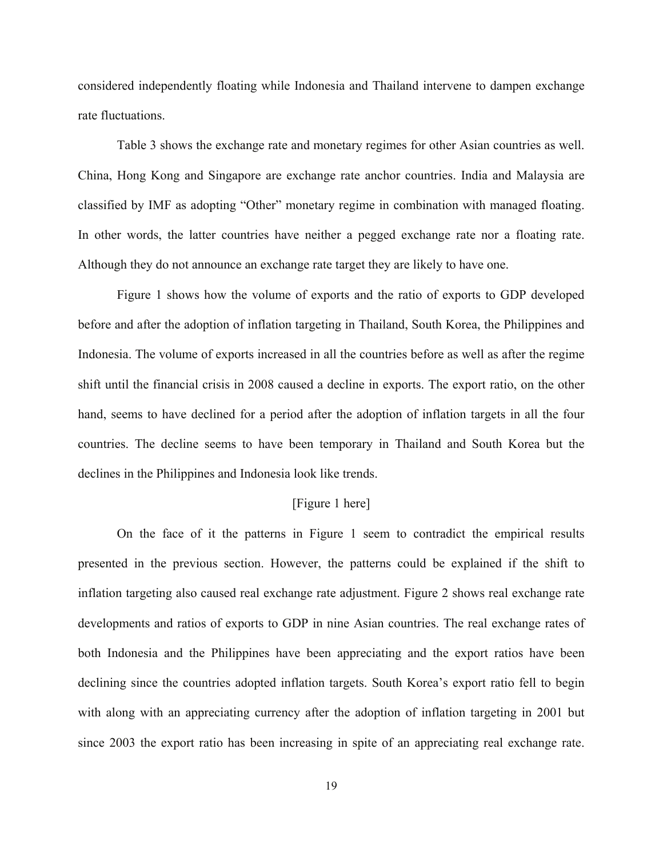considered independently floating while Indonesia and Thailand intervene to dampen exchange rate fluctuations.

 Table 3 shows the exchange rate and monetary regimes for other Asian countries as well. China, Hong Kong and Singapore are exchange rate anchor countries. India and Malaysia are classified by IMF as adopting "Other" monetary regime in combination with managed floating. In other words, the latter countries have neither a pegged exchange rate nor a floating rate. Although they do not announce an exchange rate target they are likely to have one.

 Figure 1 shows how the volume of exports and the ratio of exports to GDP developed before and after the adoption of inflation targeting in Thailand, South Korea, the Philippines and Indonesia. The volume of exports increased in all the countries before as well as after the regime shift until the financial crisis in 2008 caused a decline in exports. The export ratio, on the other hand, seems to have declined for a period after the adoption of inflation targets in all the four countries. The decline seems to have been temporary in Thailand and South Korea but the declines in the Philippines and Indonesia look like trends.

#### [Figure 1 here]

 On the face of it the patterns in Figure 1 seem to contradict the empirical results presented in the previous section. However, the patterns could be explained if the shift to inflation targeting also caused real exchange rate adjustment. Figure 2 shows real exchange rate developments and ratios of exports to GDP in nine Asian countries. The real exchange rates of both Indonesia and the Philippines have been appreciating and the export ratios have been declining since the countries adopted inflation targets. South Korea's export ratio fell to begin with along with an appreciating currency after the adoption of inflation targeting in 2001 but since 2003 the export ratio has been increasing in spite of an appreciating real exchange rate.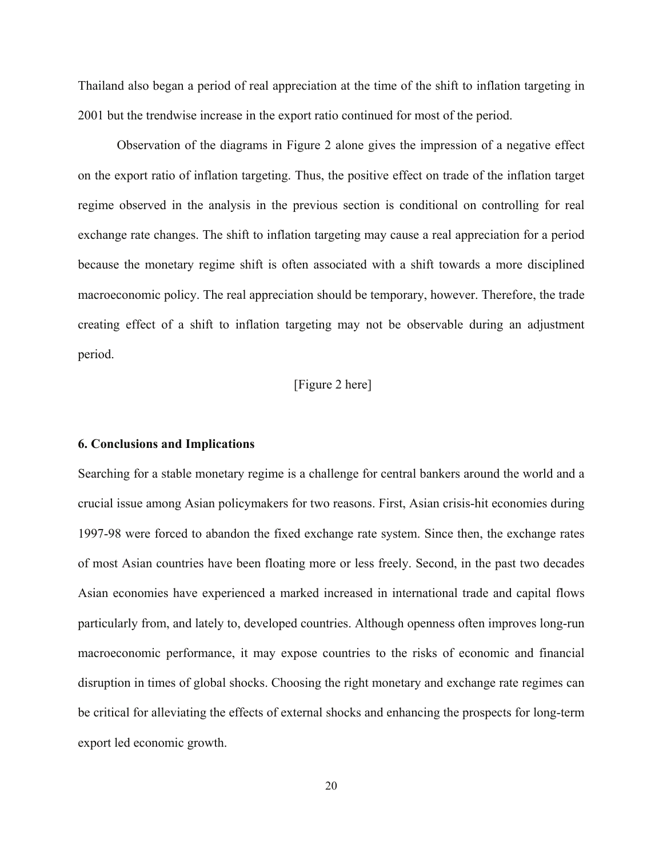Thailand also began a period of real appreciation at the time of the shift to inflation targeting in 2001 but the trendwise increase in the export ratio continued for most of the period.

 Observation of the diagrams in Figure 2 alone gives the impression of a negative effect on the export ratio of inflation targeting. Thus, the positive effect on trade of the inflation target regime observed in the analysis in the previous section is conditional on controlling for real exchange rate changes. The shift to inflation targeting may cause a real appreciation for a period because the monetary regime shift is often associated with a shift towards a more disciplined macroeconomic policy. The real appreciation should be temporary, however. Therefore, the trade creating effect of a shift to inflation targeting may not be observable during an adjustment period.

#### [Figure 2 here]

#### **6. Conclusions and Implications**

Searching for a stable monetary regime is a challenge for central bankers around the world and a crucial issue among Asian policymakers for two reasons. First, Asian crisis-hit economies during 1997-98 were forced to abandon the fixed exchange rate system. Since then, the exchange rates of most Asian countries have been floating more or less freely. Second, in the past two decades Asian economies have experienced a marked increased in international trade and capital flows particularly from, and lately to, developed countries. Although openness often improves long-run macroeconomic performance, it may expose countries to the risks of economic and financial disruption in times of global shocks. Choosing the right monetary and exchange rate regimes can be critical for alleviating the effects of external shocks and enhancing the prospects for long-term export led economic growth.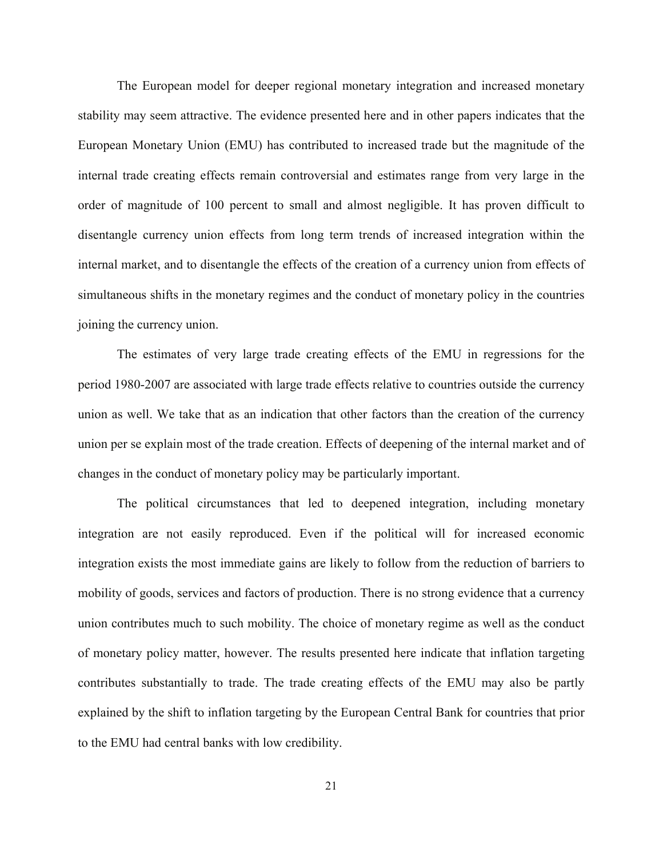The European model for deeper regional monetary integration and increased monetary stability may seem attractive. The evidence presented here and in other papers indicates that the European Monetary Union (EMU) has contributed to increased trade but the magnitude of the internal trade creating effects remain controversial and estimates range from very large in the order of magnitude of 100 percent to small and almost negligible. It has proven difficult to disentangle currency union effects from long term trends of increased integration within the internal market, and to disentangle the effects of the creation of a currency union from effects of simultaneous shifts in the monetary regimes and the conduct of monetary policy in the countries joining the currency union.

 The estimates of very large trade creating effects of the EMU in regressions for the period 1980-2007 are associated with large trade effects relative to countries outside the currency union as well. We take that as an indication that other factors than the creation of the currency union per se explain most of the trade creation. Effects of deepening of the internal market and of changes in the conduct of monetary policy may be particularly important.

 The political circumstances that led to deepened integration, including monetary integration are not easily reproduced. Even if the political will for increased economic integration exists the most immediate gains are likely to follow from the reduction of barriers to mobility of goods, services and factors of production. There is no strong evidence that a currency union contributes much to such mobility. The choice of monetary regime as well as the conduct of monetary policy matter, however. The results presented here indicate that inflation targeting contributes substantially to trade. The trade creating effects of the EMU may also be partly explained by the shift to inflation targeting by the European Central Bank for countries that prior to the EMU had central banks with low credibility.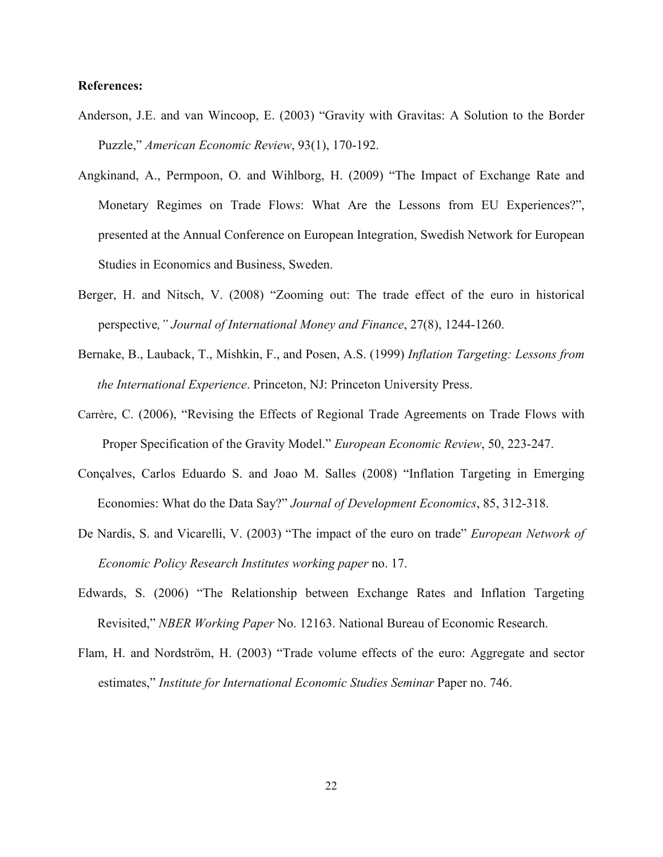#### **References:**

- Anderson, J.E. and van Wincoop, E. (2003) "Gravity with Gravitas: A Solution to the Border Puzzle," *American Economic Review*, 93(1), 170-192.
- Angkinand, A., Permpoon, O. and Wihlborg, H. (2009) "The Impact of Exchange Rate and Monetary Regimes on Trade Flows: What Are the Lessons from EU Experiences?", presented at the Annual Conference on European Integration, Swedish Network for European Studies in Economics and Business, Sweden.
- Berger, H. and Nitsch, V. (2008) "Zooming out: The trade effect of the euro in historical perspective*," Journal of International Money and Finance*, 27(8), 1244-1260.
- Bernake, B., Lauback, T., Mishkin, F., and Posen, A.S. (1999) *Inflation Targeting: Lessons from the International Experience*. Princeton, NJ: Princeton University Press.
- Carrère, C. (2006), "Revising the Effects of Regional Trade Agreements on Trade Flows with Proper Specification of the Gravity Model." *European Economic Review*, 50, 223-247.
- Conçalves, Carlos Eduardo S. and Joao M. Salles (2008) "Inflation Targeting in Emerging Economies: What do the Data Say?" *Journal of Development Economics*, 85, 312-318.
- De Nardis, S. and Vicarelli, V. (2003) "The impact of the euro on trade" *European Network of Economic Policy Research Institutes working paper* no. 17.
- Edwards, S. (2006) "The Relationship between Exchange Rates and Inflation Targeting Revisited," *NBER Working Paper* No. 12163. National Bureau of Economic Research.
- Flam, H. and Nordström, H. (2003) "Trade volume effects of the euro: Aggregate and sector estimates," *Institute for International Economic Studies Seminar* Paper no. 746.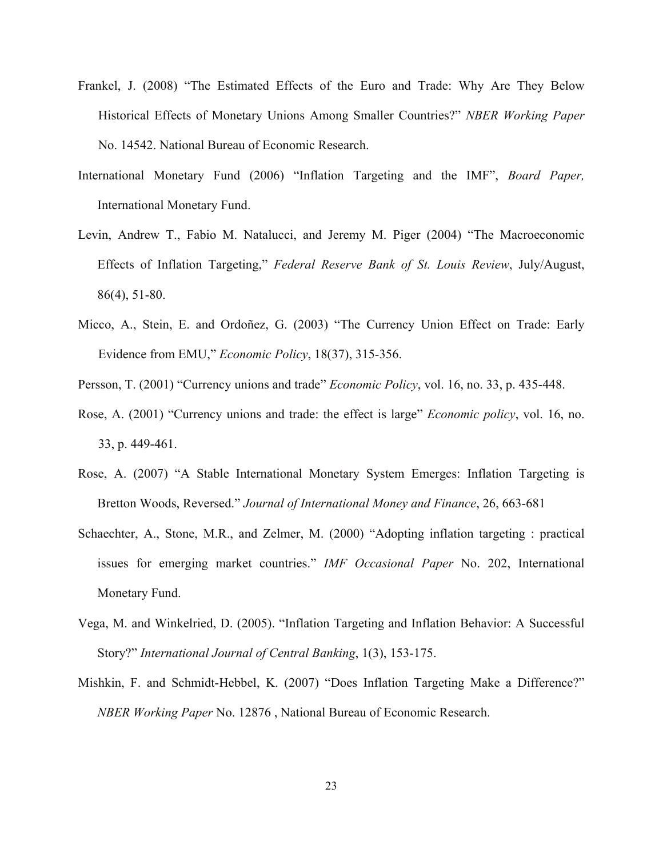- Frankel, J. (2008) "The Estimated Effects of the Euro and Trade: Why Are They Below Historical Effects of Monetary Unions Among Smaller Countries?" *NBER Working Paper*  No. 14542. National Bureau of Economic Research.
- International Monetary Fund (2006) "Inflation Targeting and the IMF", *Board Paper,* International Monetary Fund.
- Levin, Andrew T., Fabio M. Natalucci, and Jeremy M. Piger (2004) "The Macroeconomic Effects of Inflation Targeting," *Federal Reserve Bank of St. Louis Review*, July/August, 86(4), 51-80.
- Micco, A., Stein, E. and Ordoñez, G. (2003) "The Currency Union Effect on Trade: Early Evidence from EMU," *Economic Policy*, 18(37), 315-356.
- Persson, T. (2001) "Currency unions and trade" *Economic Policy*, vol. 16, no. 33, p. 435-448.
- Rose, A. (2001) "Currency unions and trade: the effect is large" *Economic policy*, vol. 16, no. 33, p. 449-461.
- Rose, A. (2007) "A Stable International Monetary System Emerges: Inflation Targeting is Bretton Woods, Reversed." *Journal of International Money and Finance*, 26, 663-681
- Schaechter, A., Stone, M.R., and Zelmer, M. (2000) "Adopting inflation targeting : practical issues for emerging market countries." *IMF Occasional Paper* No. 202, International Monetary Fund.
- Vega, M. and Winkelried, D. (2005). "Inflation Targeting and Inflation Behavior: A Successful Story?" *International Journal of Central Banking*, 1(3), 153-175.
- Mishkin, F. and Schmidt-Hebbel, K. (2007) "Does Inflation Targeting Make a Difference?" *NBER Working Paper* No. 12876 , National Bureau of Economic Research.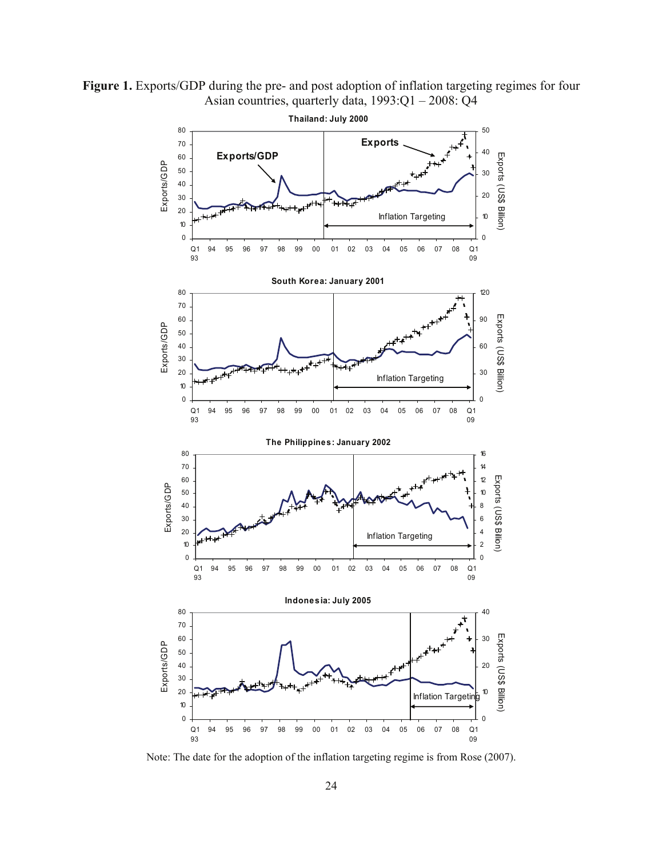**Figure 1.** Exports/GDP during the pre- and post adoption of inflation targeting regimes for four Asian countries, quarterly data, 1993:Q1 – 2008: Q4



Note: The date for the adoption of the inflation targeting regime is from Rose (2007).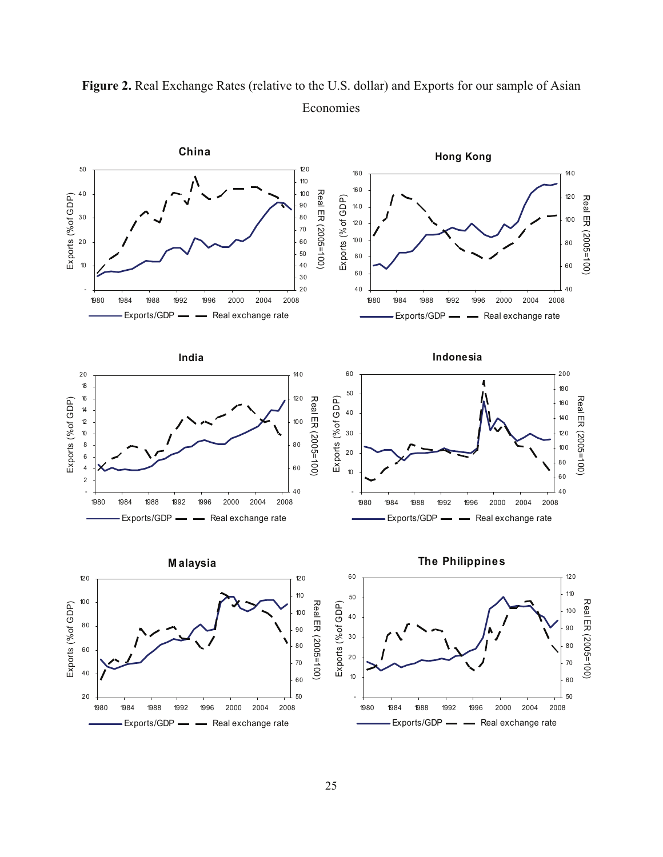

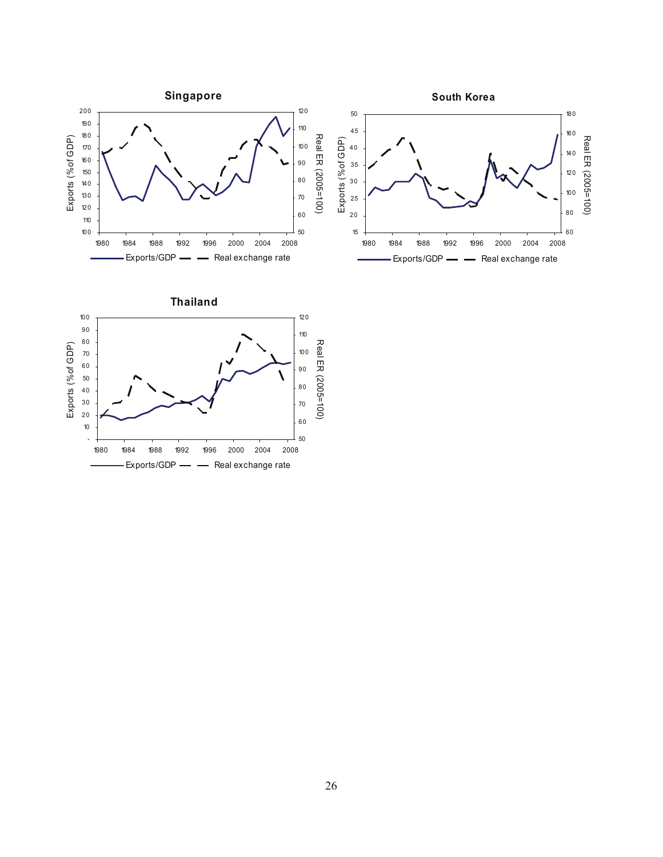

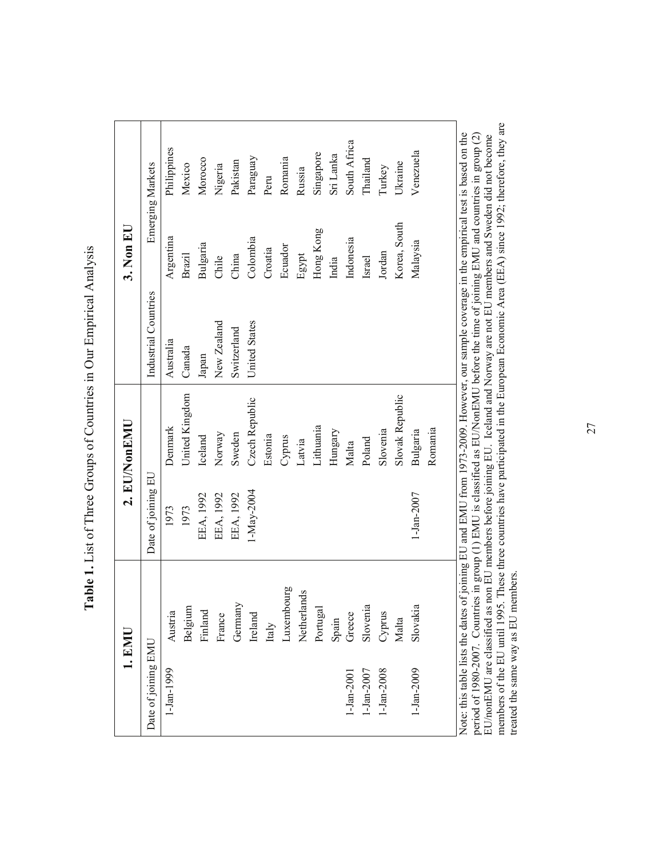| <b>Contract</b>                                                     |
|---------------------------------------------------------------------|
|                                                                     |
| l                                                                   |
| I                                                                   |
|                                                                     |
| $\frac{1}{2}$                                                       |
|                                                                     |
| $\begin{bmatrix} 1 & 1 & 1 \\ 1 & 1 & 1 \\ 1 & 1 & 1 \end{bmatrix}$ |
|                                                                     |
|                                                                     |
|                                                                     |
|                                                                     |
|                                                                     |
| $\zeta$                                                             |
|                                                                     |
|                                                                     |
| )<br>)<br>)<br>)<br>Í.                                              |
|                                                                     |
| ζ                                                                   |
|                                                                     |
|                                                                     |
|                                                                     |
| İ                                                                   |
|                                                                     |
|                                                                     |
| i                                                                   |
| l<br>.,                                                             |
|                                                                     |
|                                                                     |
|                                                                     |
| ĺ                                                                   |
|                                                                     |

| 1. EMIL             |             |                    | 2. EU/NonEMU    |                                                                                                                                                                                                                                                                                   | $3.$ Non EU  |                  |
|---------------------|-------------|--------------------|-----------------|-----------------------------------------------------------------------------------------------------------------------------------------------------------------------------------------------------------------------------------------------------------------------------------|--------------|------------------|
| Date of joining EMU |             | Date of joining EU |                 | Industrial Countries                                                                                                                                                                                                                                                              |              | Emerging Markets |
| 1-Jan-1999          | Austria     | 1973               | Denmark         | Australia                                                                                                                                                                                                                                                                         | Argentina    | Philippines      |
|                     | Belgium     | 1973               | United Kingdom  | Canada                                                                                                                                                                                                                                                                            | Brazil       | Mexico           |
|                     | Finland     | EEA, 1992          | Iceland         | Japan                                                                                                                                                                                                                                                                             | Bulgaria     | Morocco          |
|                     | France      | EEA, 1992          | Norway          | New Zealand                                                                                                                                                                                                                                                                       | Chile        | Nigeria          |
|                     | Germany     | EEA, 1992          | Sweden          | Switzerland                                                                                                                                                                                                                                                                       | China        | Pakistan         |
|                     | Ireland     | 1-May-2004         | Czech Republic  | <b>United States</b>                                                                                                                                                                                                                                                              | Colombia     | Paraguay         |
|                     | Italy       |                    | Estonia         |                                                                                                                                                                                                                                                                                   | Croatia      | Peru             |
|                     | Luxembourg  |                    | Cyprus          |                                                                                                                                                                                                                                                                                   | Ecuador      | Romania          |
|                     | Netherlands |                    | Latvia          |                                                                                                                                                                                                                                                                                   | Egypt        | Russia           |
|                     | Portugal    |                    | Lithuania       |                                                                                                                                                                                                                                                                                   | Hong Kong    | Singapore        |
|                     | Spain       |                    | Hungary         |                                                                                                                                                                                                                                                                                   | India        | Sri Lanka        |
| $1 - Jan-2001$      | Greece      |                    | Malta           |                                                                                                                                                                                                                                                                                   | Indonesia    | South Africa     |
| $-Jan-2007$         | Slovenia    |                    | Poland          |                                                                                                                                                                                                                                                                                   | Israel       | Thailand         |
| $-Jan-2008$         | Cyprus      |                    | Slovenia        |                                                                                                                                                                                                                                                                                   | Jordan       | Turkey           |
|                     | Malta       |                    | Slovak Republic |                                                                                                                                                                                                                                                                                   | Korea, South | Ukraine          |
| 1-Jan-2009          | Slovakia    | 1-Jan-2007         | Bulgaria        |                                                                                                                                                                                                                                                                                   | Malaysia     | Venezuela        |
|                     |             |                    | Romania         |                                                                                                                                                                                                                                                                                   |              |                  |
|                     |             |                    |                 | Note: this table lists the dates of joining EU and EMU from 1973-2009. However, our sample coverage in the empirical test is based on the<br>period of 1980-2007. Countries in group (1) EMU is classified as EU/NonEMU before the time of joining EMU and countries in group (2) |              |                  |

person 1700 and 1995. These three countries have participated in the European Economic Area (EEA) since 1992; therefore, they are traded the same way as EU members. These three countries have participated in the European members of the EU until 1995. These three countries have participated in the European Economic Area (EEA) since 1992; therefore, they are EU/nonEMU are classified as non EU members before joining EU. Iceland and Norway are not EU members and Sweden did not become treated the same way as EU members.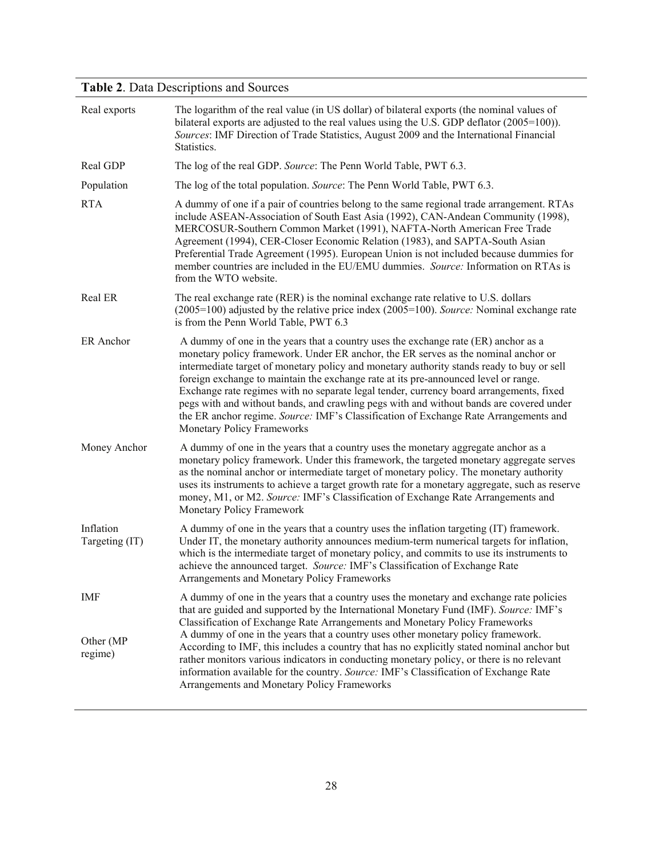## **Table 2**. Data Descriptions and Sources

| Real exports                | The logarithm of the real value (in US dollar) of bilateral exports (the nominal values of<br>bilateral exports are adjusted to the real values using the U.S. GDP deflator $(2005=100)$ ).<br>Sources: IMF Direction of Trade Statistics, August 2009 and the International Financial<br>Statistics.                                                                                                                                                                                                                                                                                                                                                                                 |
|-----------------------------|---------------------------------------------------------------------------------------------------------------------------------------------------------------------------------------------------------------------------------------------------------------------------------------------------------------------------------------------------------------------------------------------------------------------------------------------------------------------------------------------------------------------------------------------------------------------------------------------------------------------------------------------------------------------------------------|
| Real GDP                    | The log of the real GDP. Source: The Penn World Table, PWT 6.3.                                                                                                                                                                                                                                                                                                                                                                                                                                                                                                                                                                                                                       |
| Population                  | The log of the total population. Source: The Penn World Table, PWT 6.3.                                                                                                                                                                                                                                                                                                                                                                                                                                                                                                                                                                                                               |
| <b>RTA</b>                  | A dummy of one if a pair of countries belong to the same regional trade arrangement. RTAs<br>include ASEAN-Association of South East Asia (1992), CAN-Andean Community (1998),<br>MERCOSUR-Southern Common Market (1991), NAFTA-North American Free Trade<br>Agreement (1994), CER-Closer Economic Relation (1983), and SAPTA-South Asian<br>Preferential Trade Agreement (1995). European Union is not included because dummies for<br>member countries are included in the EU/EMU dummies. Source: Information on RTAs is<br>from the WTO website.                                                                                                                                  |
| Real ER                     | The real exchange rate (RER) is the nominal exchange rate relative to U.S. dollars<br>$(2005=100)$ adjusted by the relative price index $(2005=100)$ . Source: Nominal exchange rate<br>is from the Penn World Table, PWT 6.3                                                                                                                                                                                                                                                                                                                                                                                                                                                         |
| ER Anchor                   | A dummy of one in the years that a country uses the exchange rate (ER) anchor as a<br>monetary policy framework. Under ER anchor, the ER serves as the nominal anchor or<br>intermediate target of monetary policy and monetary authority stands ready to buy or sell<br>foreign exchange to maintain the exchange rate at its pre-announced level or range.<br>Exchange rate regimes with no separate legal tender, currency board arrangements, fixed<br>pegs with and without bands, and crawling pegs with and without bands are covered under<br>the ER anchor regime. Source: IMF's Classification of Exchange Rate Arrangements and<br><b>Monetary Policy Frameworks</b>       |
| Money Anchor                | A dummy of one in the years that a country uses the monetary aggregate anchor as a<br>monetary policy framework. Under this framework, the targeted monetary aggregate serves<br>as the nominal anchor or intermediate target of monetary policy. The monetary authority<br>uses its instruments to achieve a target growth rate for a monetary aggregate, such as reserve<br>money, M1, or M2. Source: IMF's Classification of Exchange Rate Arrangements and<br>Monetary Policy Framework                                                                                                                                                                                           |
| Inflation<br>Targeting (IT) | A dummy of one in the years that a country uses the inflation targeting (IT) framework.<br>Under IT, the monetary authority announces medium-term numerical targets for inflation,<br>which is the intermediate target of monetary policy, and commits to use its instruments to<br>achieve the announced target. Source: IMF's Classification of Exchange Rate<br>Arrangements and Monetary Policy Frameworks                                                                                                                                                                                                                                                                        |
| IMF<br>Other (MP<br>regime) | A dummy of one in the years that a country uses the monetary and exchange rate policies<br>that are guided and supported by the International Monetary Fund (IMF). Source: IMF's<br>Classification of Exchange Rate Arrangements and Monetary Policy Frameworks<br>A dummy of one in the years that a country uses other monetary policy framework.<br>According to IMF, this includes a country that has no explicitly stated nominal anchor but<br>rather monitors various indicators in conducting monetary policy, or there is no relevant<br>information available for the country. Source: IMF's Classification of Exchange Rate<br>Arrangements and Monetary Policy Frameworks |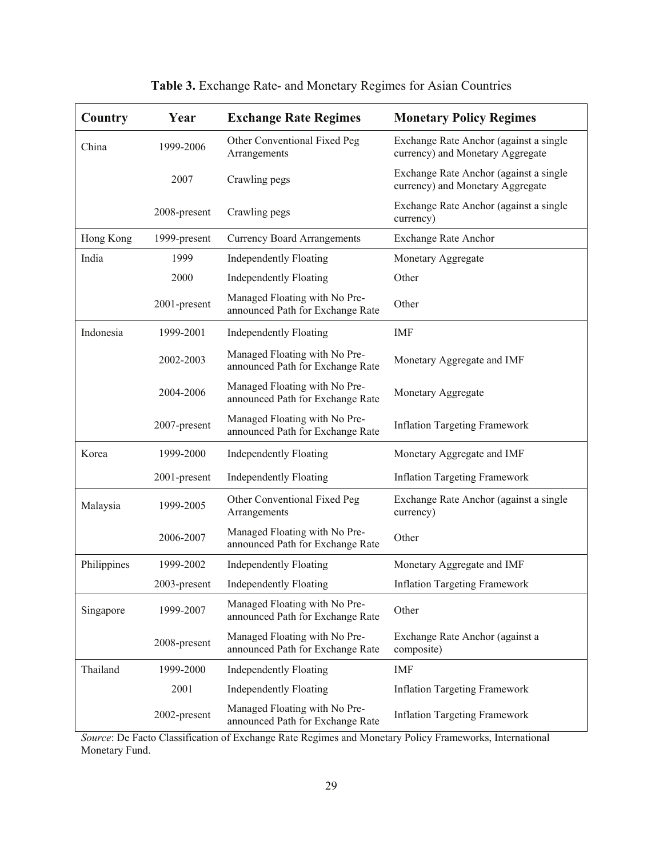| Country     | Year         | <b>Exchange Rate Regimes</b>                                      | <b>Monetary Policy Regimes</b>                                             |
|-------------|--------------|-------------------------------------------------------------------|----------------------------------------------------------------------------|
| China       | 1999-2006    | Other Conventional Fixed Peg<br>Arrangements                      | Exchange Rate Anchor (against a single<br>currency) and Monetary Aggregate |
|             | 2007         | Crawling pegs                                                     | Exchange Rate Anchor (against a single<br>currency) and Monetary Aggregate |
|             | 2008-present | Crawling pegs                                                     | Exchange Rate Anchor (against a single<br>currency)                        |
| Hong Kong   | 1999-present | <b>Currency Board Arrangements</b>                                | <b>Exchange Rate Anchor</b>                                                |
| India       | 1999         | <b>Independently Floating</b>                                     | Monetary Aggregate                                                         |
|             | 2000         | <b>Independently Floating</b>                                     | Other                                                                      |
|             | 2001-present | Managed Floating with No Pre-<br>announced Path for Exchange Rate | Other                                                                      |
| Indonesia   | 1999-2001    | <b>Independently Floating</b>                                     | <b>IMF</b>                                                                 |
|             | 2002-2003    | Managed Floating with No Pre-<br>announced Path for Exchange Rate | Monetary Aggregate and IMF                                                 |
|             | 2004-2006    | Managed Floating with No Pre-<br>announced Path for Exchange Rate | Monetary Aggregate                                                         |
|             | 2007-present | Managed Floating with No Pre-<br>announced Path for Exchange Rate | <b>Inflation Targeting Framework</b>                                       |
| Korea       | 1999-2000    | <b>Independently Floating</b>                                     | Monetary Aggregate and IMF                                                 |
|             | 2001-present | <b>Independently Floating</b>                                     | <b>Inflation Targeting Framework</b>                                       |
| Malaysia    | 1999-2005    | Other Conventional Fixed Peg<br>Arrangements                      | Exchange Rate Anchor (against a single<br>currency)                        |
|             | 2006-2007    | Managed Floating with No Pre-<br>announced Path for Exchange Rate | Other                                                                      |
| Philippines | 1999-2002    | <b>Independently Floating</b>                                     | Monetary Aggregate and IMF                                                 |
|             | 2003-present | <b>Independently Floating</b>                                     | <b>Inflation Targeting Framework</b>                                       |
| Singapore   | 1999-2007    | Managed Floating with No Pre-<br>announced Path for Exchange Rate | Other                                                                      |
|             | 2008-present | Managed Floating with No Pre-<br>announced Path for Exchange Rate | Exchange Rate Anchor (against a<br>composite)                              |
| Thailand    | 1999-2000    | <b>Independently Floating</b>                                     | IMF                                                                        |
|             | 2001         | <b>Independently Floating</b>                                     | <b>Inflation Targeting Framework</b>                                       |
|             | 2002-present | Managed Floating with No Pre-<br>announced Path for Exchange Rate | <b>Inflation Targeting Framework</b>                                       |

| Table 3. Exchange Rate- and Monetary Regimes for Asian Countries |  |  |
|------------------------------------------------------------------|--|--|
|                                                                  |  |  |

*Source*: De Facto Classification of Exchange Rate Regimes and Monetary Policy Frameworks, International Monetary Fund.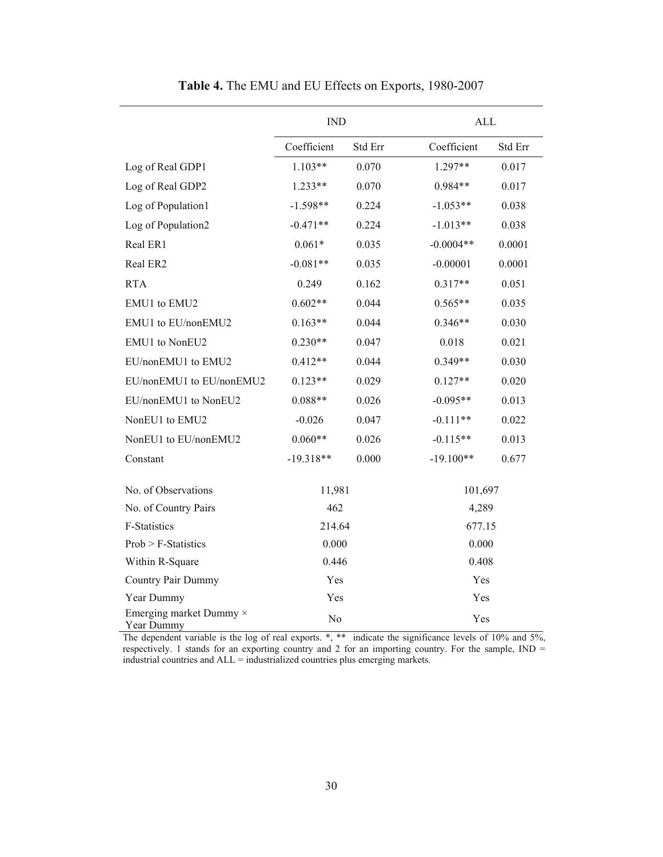|                                       | <b>IND</b>            |         | <b>ALL</b>  |         |
|---------------------------------------|-----------------------|---------|-------------|---------|
|                                       | Coefficient           | Std Err | Coefficient | Std Err |
| Log of Real GDP1                      | $1.103**$             | 0.070   | 1.297**     | 0.017   |
| Log of Real GDP2                      | $1.233**$             | 0.070   | 0.984**     | 0.017   |
| Log of Population1                    | $-1.598**$            | 0.224   | $-1.053**$  | 0.038   |
| Log of Population2                    | $-0.471**$            | 0.224   | $-1.013**$  | 0.038   |
| Real ER1                              | $0.061*$              | 0.035   | $-0.0004**$ | 0.0001  |
| Real ER2                              | $-0.081**$            | 0.035   | $-0.00001$  | 0.0001  |
| <b>RTA</b>                            | 0.249                 | 0.162   | $0.317**$   | 0.051   |
| EMU1 to EMU2                          | $0.602**$             | 0.044   | $0.565**$   | 0.035   |
| EMU1 to EU/nonEMU2                    | $0.163**$             | 0.044   | $0.346**$   | 0.030   |
| EMU1 to NonEU2                        | $0.230**$             | 0.047   | 0.018       | 0.021   |
| EU/nonEMU1 to EMU2                    | $0.412**$             | 0.044   | $0.349**$   | 0.030   |
| EU/nonEMU1 to EU/nonEMU2              | $0.123**$             | 0.029   | $0.127**$   | 0.020   |
| EU/nonEMU1 to NonEU2                  | $0.088**$             | 0.026   | $-0.095**$  | 0.013   |
| NonEU1 to EMU2                        | $-0.026$              | 0.047   | $-0.111**$  | 0.022   |
| NonEU1 to EU/nonEMU2                  | $0.060**$             | 0.026   | $-0.115**$  | 0.013   |
| Constant                              | $-19.318**$           | 0.000   | $-19.100**$ | 0.677   |
| No. of Observations                   | 11,981                |         | 101,697     |         |
| No. of Country Pairs                  | 462                   |         | 4,289       |         |
| <b>F-Statistics</b>                   | 214.64                |         | 677.15      |         |
| $Prob > F$ -Statistics                | 0.000                 |         | 0.000       |         |
| Within R-Square                       | 0.446                 |         | 0.408       |         |
| <b>Country Pair Dummy</b>             | Yes                   |         | Yes         |         |
| Year Dummy                            | Yes                   |         | Yes         |         |
| Emerging market Dummy ×<br>Year Dummy | N <sub>o</sub><br>Yes |         |             |         |

**Table 4.** The EMU and EU Effects on Exports, 1980-2007

The dependent variable is the log of real exports. \*, \*\* indicate the significance levels of 10% and 5%, respectively. 1 stands for an exporting country and 2 for an importing country. For the sample, IND = industrial countries and ALL = industrialized countries plus emerging markets.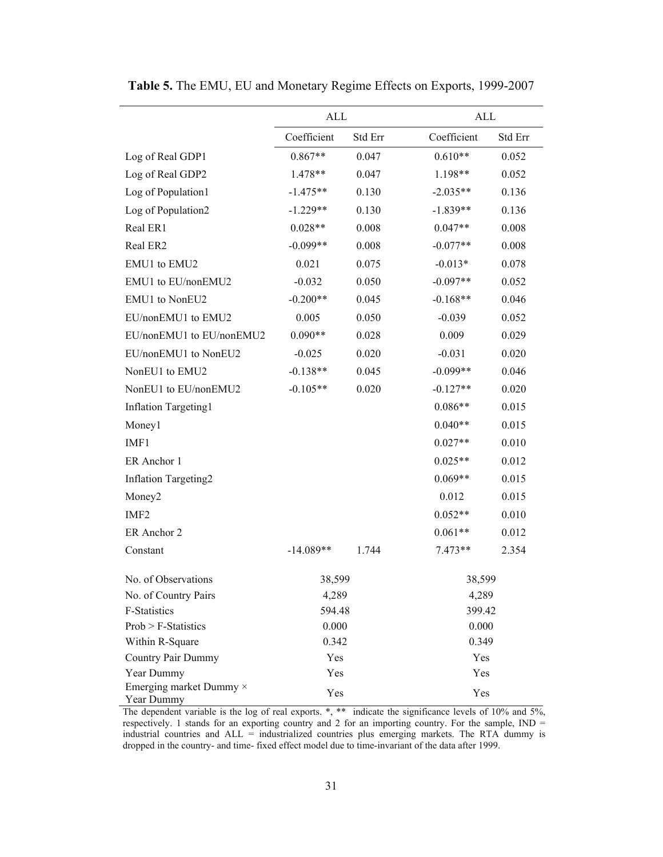|                                       | ALL         |         | ALL         |         |  |
|---------------------------------------|-------------|---------|-------------|---------|--|
|                                       | Coefficient | Std Err | Coefficient | Std Err |  |
| Log of Real GDP1                      | $0.867**$   | 0.047   | $0.610**$   | 0.052   |  |
| Log of Real GDP2                      | 1.478**     | 0.047   | 1.198**     | 0.052   |  |
| Log of Population1                    | $-1.475**$  | 0.130   | $-2.035**$  | 0.136   |  |
| Log of Population2                    | $-1.229**$  | 0.130   | $-1.839**$  | 0.136   |  |
| Real ER1                              | $0.028**$   | 0.008   | $0.047**$   | 0.008   |  |
| Real ER2                              | $-0.099**$  | 0.008   | $-0.077**$  | 0.008   |  |
| EMU1 to EMU2                          | 0.021       | 0.075   | $-0.013*$   | 0.078   |  |
| EMU1 to EU/nonEMU2                    | $-0.032$    | 0.050   | $-0.097**$  | 0.052   |  |
| EMU1 to NonEU2                        | $-0.200**$  | 0.045   | $-0.168**$  | 0.046   |  |
| EU/nonEMU1 to EMU2                    | 0.005       | 0.050   | $-0.039$    | 0.052   |  |
| EU/nonEMU1 to EU/nonEMU2              | $0.090**$   | 0.028   | 0.009       | 0.029   |  |
| EU/nonEMU1 to NonEU2                  | $-0.025$    | 0.020   | $-0.031$    | 0.020   |  |
| NonEU1 to EMU2                        | $-0.138**$  | 0.045   | $-0.099**$  | 0.046   |  |
| NonEU1 to EU/nonEMU2                  | $-0.105**$  | 0.020   | $-0.127**$  | 0.020   |  |
| <b>Inflation Targeting1</b>           |             |         | $0.086**$   | 0.015   |  |
| Money1                                |             |         | $0.040**$   | 0.015   |  |
| IMF1                                  |             |         | $0.027**$   | 0.010   |  |
| ER Anchor 1                           |             |         | $0.025**$   | 0.012   |  |
| <b>Inflation Targeting2</b>           |             |         | $0.069**$   | 0.015   |  |
| Money <sub>2</sub>                    |             |         | 0.012       | 0.015   |  |
| IMF <sub>2</sub>                      |             |         | $0.052**$   | 0.010   |  |
| ER Anchor 2                           |             |         | $0.061**$   | 0.012   |  |
| Constant                              | $-14.089**$ | 1.744   | $7.473**$   | 2.354   |  |
| No. of Observations                   | 38,599      |         | 38,599      |         |  |
| No. of Country Pairs                  | 4,289       |         | 4,289       |         |  |
| F-Statistics                          | 594.48      |         | 399.42      |         |  |
| $Prob > F-Statistics$                 | 0.000       |         | 0.000       |         |  |
| Within R-Square                       | 0.342       |         | 0.349       |         |  |
| Country Pair Dummy<br>Year Dummy      | Yes<br>Yes  |         | Yes<br>Yes  |         |  |
| Emerging market Dummy ×<br>Year Dummy | Yes         |         | Yes         |         |  |

**Table 5.** The EMU, EU and Monetary Regime Effects on Exports, 1999-2007

The dependent variable is the log of real exports. \*, \*\* indicate the significance levels of 10% and 5%, respectively. 1 stands for an exporting country and 2 for an importing country. For the sample, IND = industrial countries and ALL = industrialized countries plus emerging markets. The RTA dummy is dropped in the country- and time- fixed effect model due to time-invariant of the data after 1999.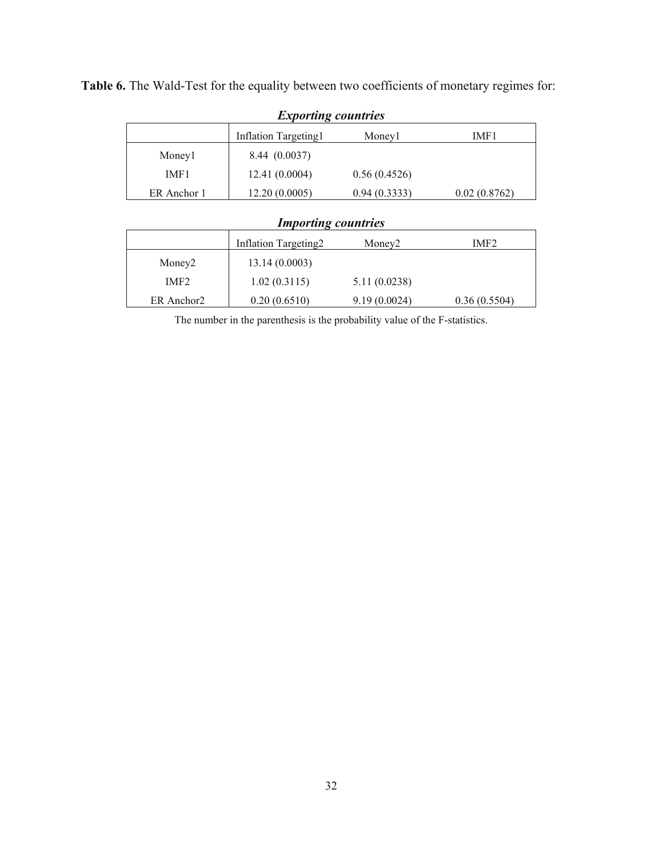**Table 6.** The Wald-Test for the equality between two coefficients of monetary regimes for:

| <i>Exporting countries</i> |                      |              |              |  |  |  |
|----------------------------|----------------------|--------------|--------------|--|--|--|
|                            | Inflation Targeting1 | Money1       | IMF1         |  |  |  |
| Money1                     | 8.44 (0.0037)        |              |              |  |  |  |
| IMF1                       | 12.41(0.0004)        | 0.56(0.4526) |              |  |  |  |
| ER Anchor 1                | 12.20(0.0005)        | 0.94(0.3333) | 0.02(0.8762) |  |  |  |

#### *Exporting countries*

## *Importing countries*

|                    | Inflation Targeting2 | Money <sub>2</sub> | IMF <sub>2</sub> |
|--------------------|----------------------|--------------------|------------------|
| Money <sub>2</sub> | 13.14(0.0003)        |                    |                  |
| IMF <sub>2</sub>   | 1.02(0.3115)         | 5.11(0.0238)       |                  |
| ER Anchor2         | 0.20(0.6510)         | 9.19(0.0024)       | 0.36(0.5504)     |

The number in the parenthesis is the probability value of the F-statistics.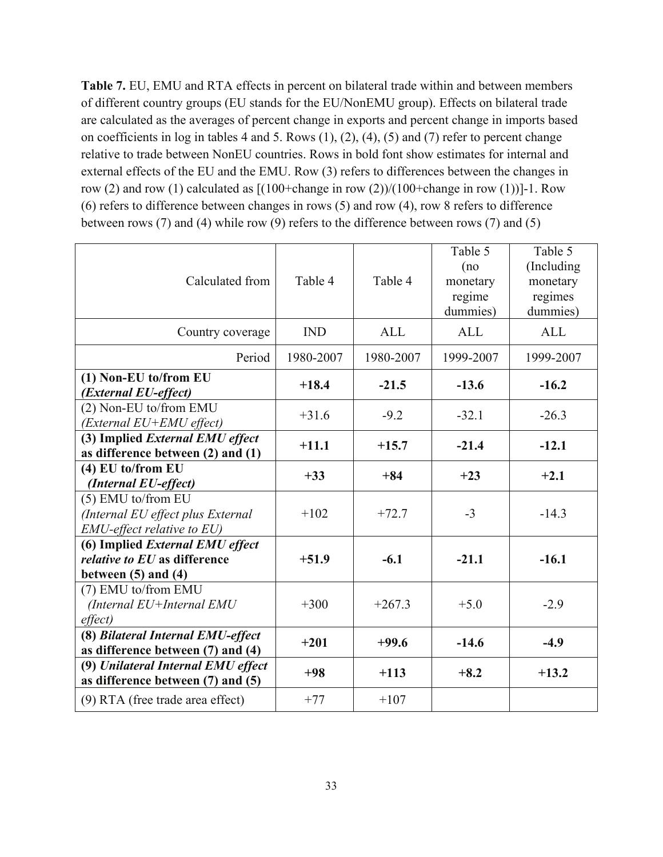**Table 7.** EU, EMU and RTA effects in percent on bilateral trade within and between members of different country groups (EU stands for the EU/NonEMU group). Effects on bilateral trade are calculated as the averages of percent change in exports and percent change in imports based on coefficients in log in tables 4 and 5. Rows (1), (2), (4), (5) and (7) refer to percent change relative to trade between NonEU countries. Rows in bold font show estimates for internal and external effects of the EU and the EMU. Row (3) refers to differences between the changes in row (2) and row (1) calculated as  $[(100+\text{change in row} (2))/(100+\text{change in row} (1))]$ -1. Row (6) refers to difference between changes in rows (5) and row (4), row 8 refers to difference between rows (7) and (4) while row (9) refers to the difference between rows (7) and (5)

| Calculated from                                                                                   | Table 4    | Table 4    | Table 5<br>(no<br>monetary<br>regime<br>dummies) | Table 5<br>(Including)<br>monetary<br>regimes<br>dummies) |
|---------------------------------------------------------------------------------------------------|------------|------------|--------------------------------------------------|-----------------------------------------------------------|
| Country coverage                                                                                  | <b>IND</b> | <b>ALL</b> | <b>ALL</b>                                       | <b>ALL</b>                                                |
| Period                                                                                            | 1980-2007  | 1980-2007  | 1999-2007                                        | 1999-2007                                                 |
| (1) Non-EU to/from EU<br>(External EU-effect)                                                     | $+18.4$    | $-21.5$    | $-13.6$                                          | $-16.2$                                                   |
| (2) Non-EU to/from EMU<br>(External EU+EMU effect)                                                | $+31.6$    | $-9.2$     | $-32.1$                                          | $-26.3$                                                   |
| (3) Implied External EMU effect<br>as difference between $(2)$ and $(1)$                          | $+11.1$    | $+15.7$    | $-21.4$                                          | $-12.1$                                                   |
| (4) EU to/from EU<br>(Internal EU-effect)                                                         | $+33$      | $+84$      | $+23$                                            | $+2.1$                                                    |
| (5) EMU to/from EU<br>(Internal EU effect plus External<br><b>EMU-effect relative to EU)</b>      | $+102$     | $+72.7$    | $-3$                                             | $-14.3$                                                   |
| (6) Implied External EMU effect<br><i>relative to EU</i> as difference<br>between $(5)$ and $(4)$ | $+51.9$    | $-6.1$     | $-21.1$                                          | $-16.1$                                                   |
| (7) EMU to/from EMU<br>(Internal EU+Internal EMU<br>effect)                                       | $+300$     | $+267.3$   | $+5.0$                                           | $-2.9$                                                    |
| (8) Bilateral Internal EMU-effect<br>as difference between (7) and (4)                            | $+201$     | $+99.6$    | $-14.6$                                          | $-4.9$                                                    |
| (9) Unilateral Internal EMU effect<br>as difference between (7) and (5)                           | $+98$      | $+113$     | $+8.2$                                           | $+13.2$                                                   |
| (9) RTA (free trade area effect)                                                                  | $+77$      | $+107$     |                                                  |                                                           |